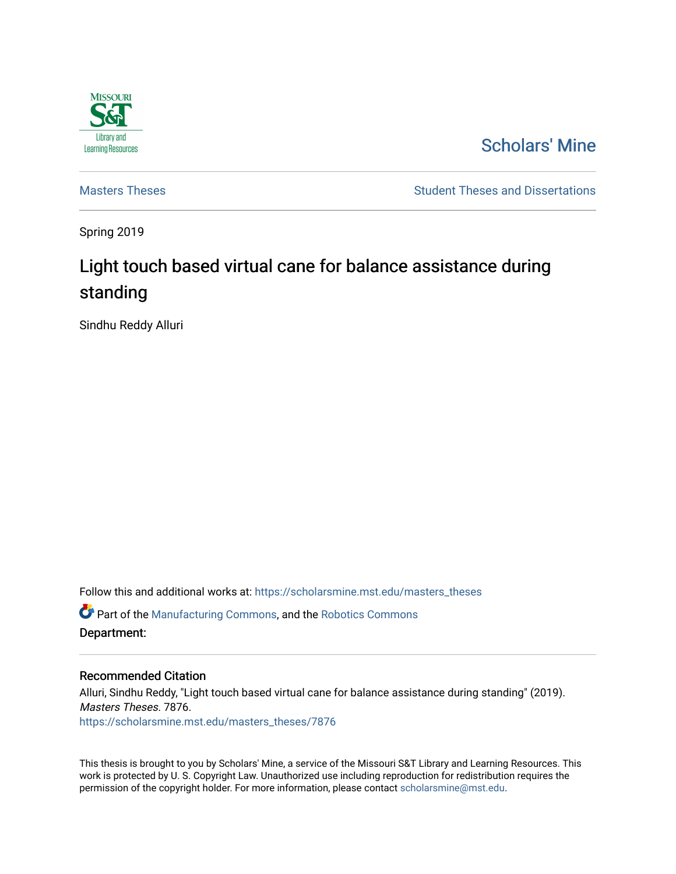

# [Scholars' Mine](https://scholarsmine.mst.edu/)

[Masters Theses](https://scholarsmine.mst.edu/masters_theses) **Student Theses and Dissertations** Student Theses and Dissertations

Spring 2019

# Light touch based virtual cane for balance assistance during standing

Sindhu Reddy Alluri

Follow this and additional works at: [https://scholarsmine.mst.edu/masters\\_theses](https://scholarsmine.mst.edu/masters_theses?utm_source=scholarsmine.mst.edu%2Fmasters_theses%2F7876&utm_medium=PDF&utm_campaign=PDFCoverPages) 

 $\bullet$  Part of the [Manufacturing Commons,](http://network.bepress.com/hgg/discipline/301?utm_source=scholarsmine.mst.edu%2Fmasters_theses%2F7876&utm_medium=PDF&utm_campaign=PDFCoverPages) and the Robotics Commons Department:

#### Recommended Citation

Alluri, Sindhu Reddy, "Light touch based virtual cane for balance assistance during standing" (2019). Masters Theses. 7876. [https://scholarsmine.mst.edu/masters\\_theses/7876](https://scholarsmine.mst.edu/masters_theses/7876?utm_source=scholarsmine.mst.edu%2Fmasters_theses%2F7876&utm_medium=PDF&utm_campaign=PDFCoverPages) 

This thesis is brought to you by Scholars' Mine, a service of the Missouri S&T Library and Learning Resources. This work is protected by U. S. Copyright Law. Unauthorized use including reproduction for redistribution requires the permission of the copyright holder. For more information, please contact [scholarsmine@mst.edu](mailto:scholarsmine@mst.edu).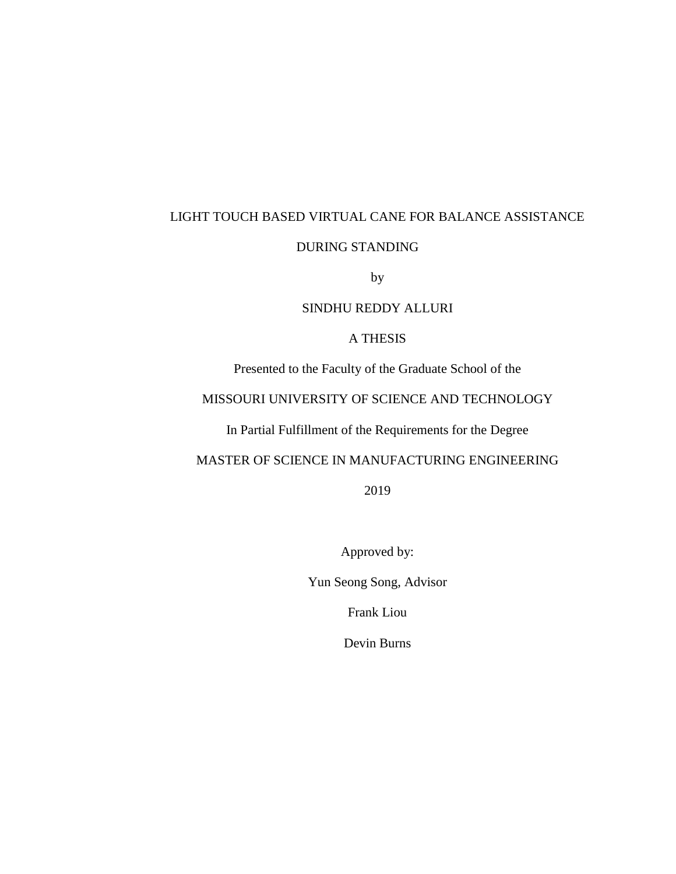# LIGHT TOUCH BASED VIRTUAL CANE FOR BALANCE ASSISTANCE

### DURING STANDING

by

### SINDHU REDDY ALLURI

### A THESIS

Presented to the Faculty of the Graduate School of the

## MISSOURI UNIVERSITY OF SCIENCE AND TECHNOLOGY

In Partial Fulfillment of the Requirements for the Degree

### MASTER OF SCIENCE IN MANUFACTURING ENGINEERING

2019

Approved by:

Yun Seong Song, Advisor

Frank Liou

Devin Burns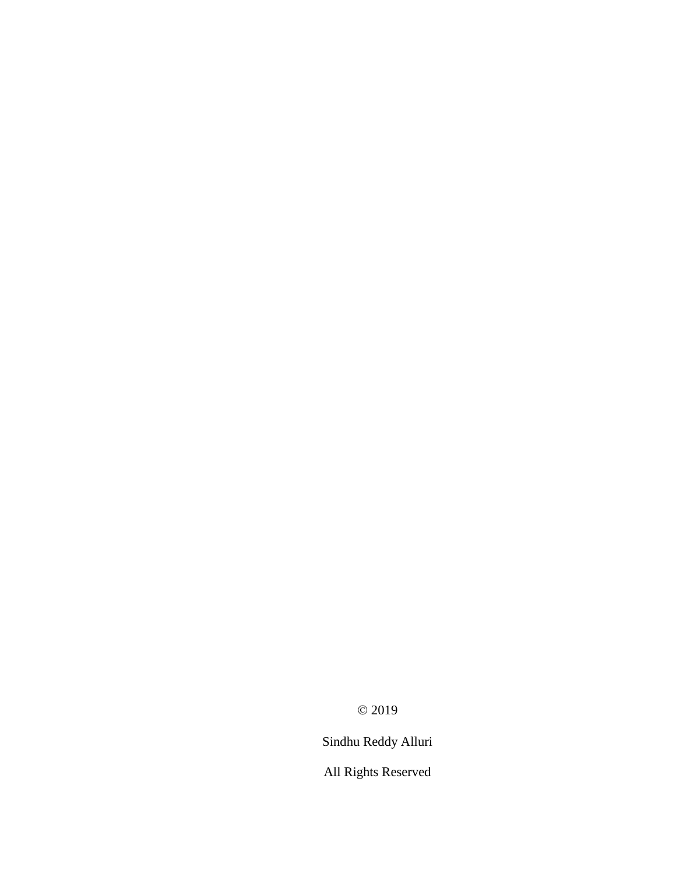© 2019

Sindhu Reddy Alluri

All Rights Reserved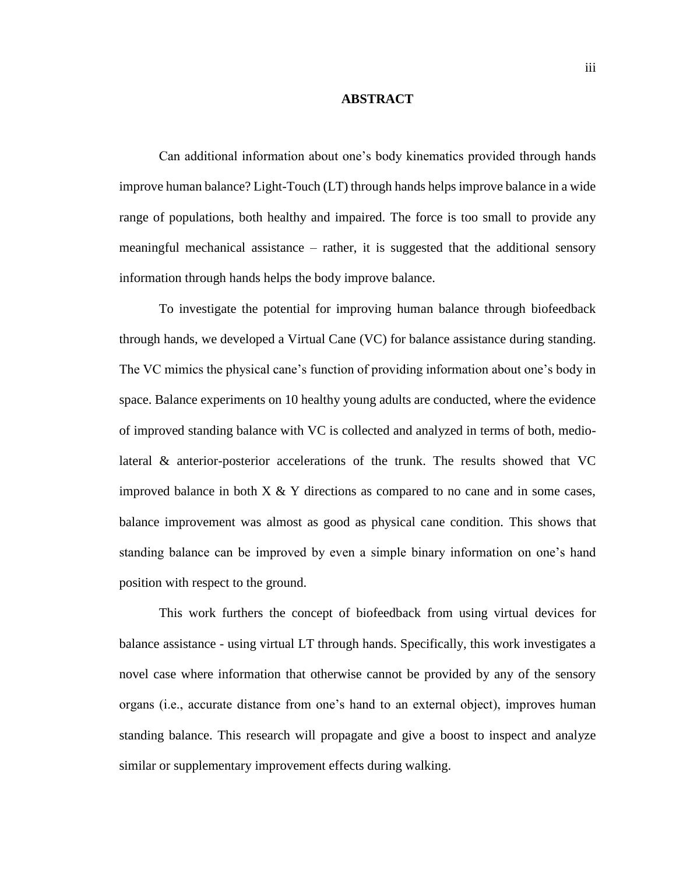#### **ABSTRACT**

Can additional information about one's body kinematics provided through hands improve human balance? Light-Touch (LT) through hands helps improve balance in a wide range of populations, both healthy and impaired. The force is too small to provide any meaningful mechanical assistance – rather, it is suggested that the additional sensory information through hands helps the body improve balance.

To investigate the potential for improving human balance through biofeedback through hands, we developed a Virtual Cane (VC) for balance assistance during standing. The VC mimics the physical cane's function of providing information about one's body in space. Balance experiments on 10 healthy young adults are conducted, where the evidence of improved standing balance with VC is collected and analyzed in terms of both, mediolateral & anterior-posterior accelerations of the trunk. The results showed that VC improved balance in both  $X \& Y$  directions as compared to no cane and in some cases, balance improvement was almost as good as physical cane condition. This shows that standing balance can be improved by even a simple binary information on one's hand position with respect to the ground.

This work furthers the concept of biofeedback from using virtual devices for balance assistance - using virtual LT through hands. Specifically, this work investigates a novel case where information that otherwise cannot be provided by any of the sensory organs (i.e., accurate distance from one's hand to an external object), improves human standing balance. This research will propagate and give a boost to inspect and analyze similar or supplementary improvement effects during walking.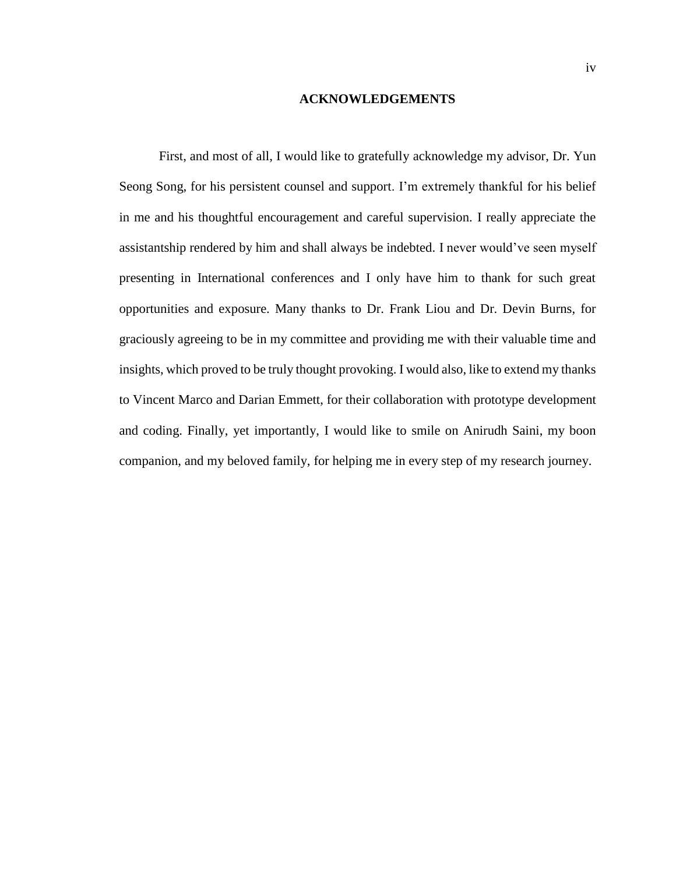#### **ACKNOWLEDGEMENTS**

First, and most of all, I would like to gratefully acknowledge my advisor, Dr. Yun Seong Song, for his persistent counsel and support. I'm extremely thankful for his belief in me and his thoughtful encouragement and careful supervision. I really appreciate the assistantship rendered by him and shall always be indebted. I never would've seen myself presenting in International conferences and I only have him to thank for such great opportunities and exposure. Many thanks to Dr. Frank Liou and Dr. Devin Burns, for graciously agreeing to be in my committee and providing me with their valuable time and insights, which proved to be truly thought provoking. I would also, like to extend my thanks to Vincent Marco and Darian Emmett, for their collaboration with prototype development and coding. Finally, yet importantly, I would like to smile on Anirudh Saini, my boon companion, and my beloved family, for helping me in every step of my research journey.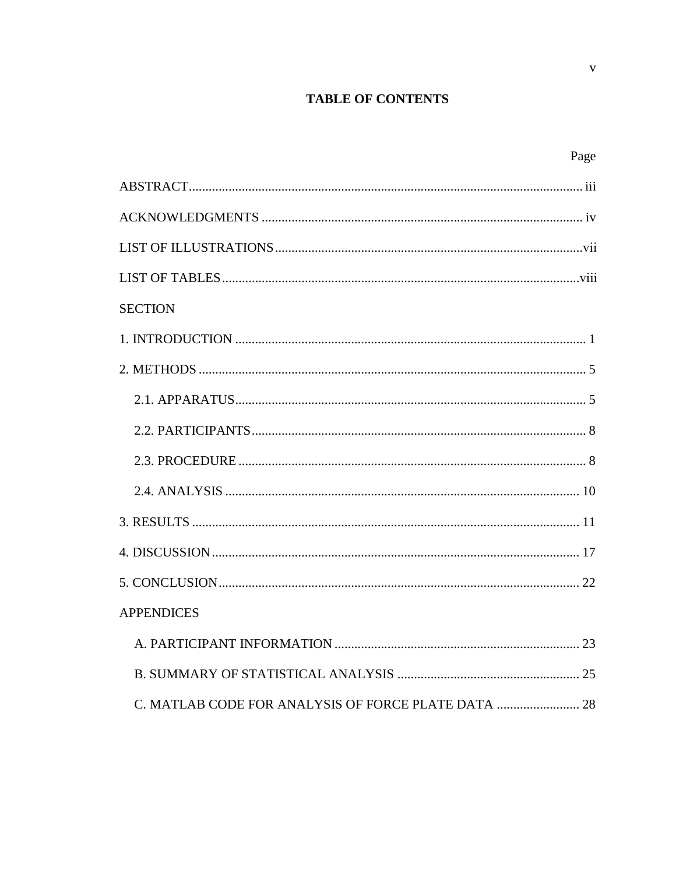## **TABLE OF CONTENTS**

| Page              |  |
|-------------------|--|
|                   |  |
|                   |  |
|                   |  |
|                   |  |
| <b>SECTION</b>    |  |
|                   |  |
|                   |  |
|                   |  |
|                   |  |
|                   |  |
|                   |  |
|                   |  |
|                   |  |
|                   |  |
| <b>APPENDICES</b> |  |
|                   |  |
|                   |  |
|                   |  |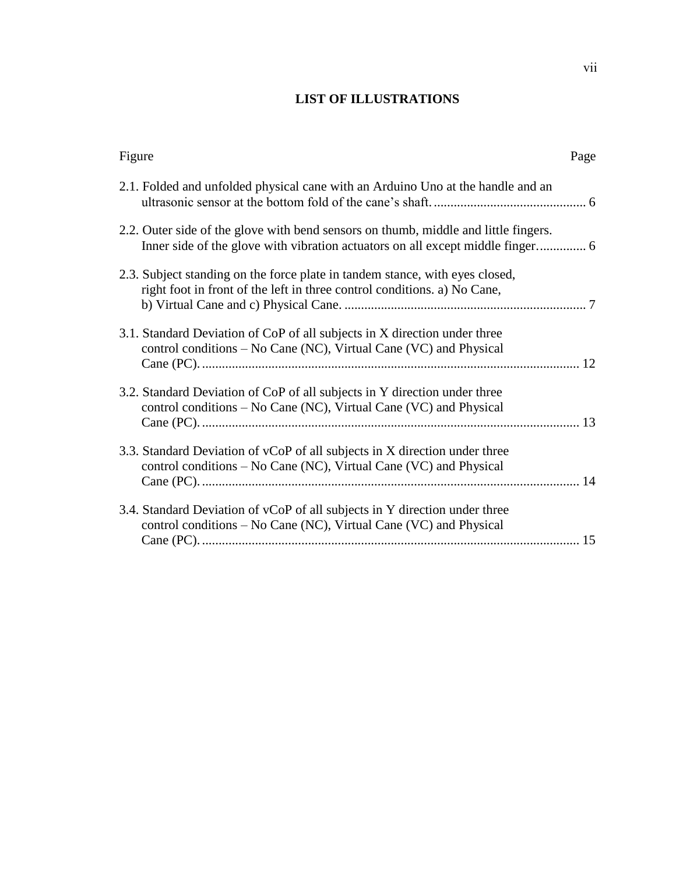# **LIST OF ILLUSTRATIONS**

| Figure                                                                                                                                                   | Page |
|----------------------------------------------------------------------------------------------------------------------------------------------------------|------|
| 2.1. Folded and unfolded physical cane with an Arduino Uno at the handle and an                                                                          |      |
| 2.2. Outer side of the glove with bend sensors on thumb, middle and little fingers.                                                                      |      |
| 2.3. Subject standing on the force plate in tandem stance, with eyes closed,<br>right foot in front of the left in three control conditions. a) No Cane, |      |
| 3.1. Standard Deviation of CoP of all subjects in X direction under three<br>control conditions – No Cane (NC), Virtual Cane (VC) and Physical           |      |
| 3.2. Standard Deviation of CoP of all subjects in Y direction under three<br>control conditions – No Cane (NC), Virtual Cane (VC) and Physical           |      |
| 3.3. Standard Deviation of vCoP of all subjects in X direction under three<br>control conditions – No Cane (NC), Virtual Cane (VC) and Physical          |      |
| 3.4. Standard Deviation of vCoP of all subjects in Y direction under three<br>control conditions – No Cane (NC), Virtual Cane (VC) and Physical          |      |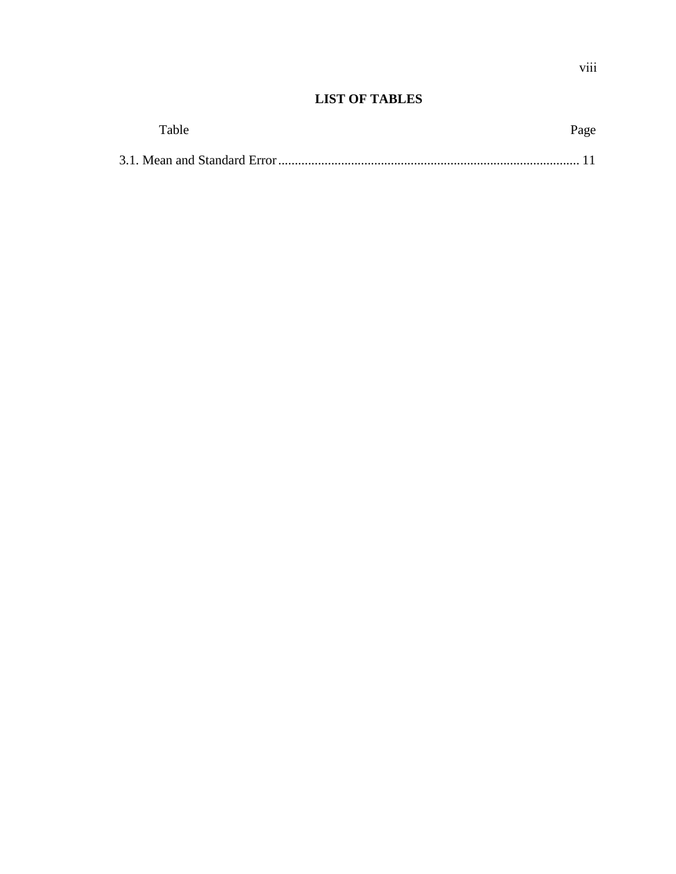# **LIST OF TABLES**

| Table | Page |
|-------|------|
|       |      |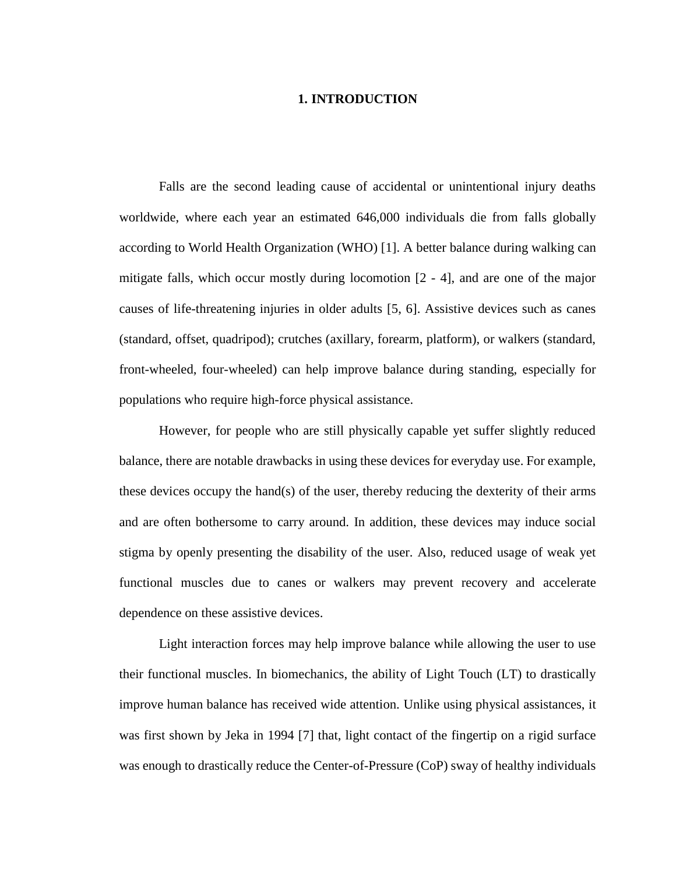#### **1. INTRODUCTION**

Falls are the second leading cause of accidental or unintentional injury deaths worldwide, where each year an estimated 646,000 individuals die from falls globally according to World Health Organization (WHO) [1]. A better balance during walking can mitigate falls, which occur mostly during locomotion [2 - 4], and are one of the major causes of life-threatening injuries in older adults [5, 6]. Assistive devices such as canes (standard, offset, quadripod); crutches (axillary, forearm, platform), or walkers (standard, front-wheeled, four-wheeled) can help improve balance during standing, especially for populations who require high-force physical assistance.

However, for people who are still physically capable yet suffer slightly reduced balance, there are notable drawbacks in using these devices for everyday use. For example, these devices occupy the hand(s) of the user, thereby reducing the dexterity of their arms and are often bothersome to carry around. In addition, these devices may induce social stigma by openly presenting the disability of the user. Also, reduced usage of weak yet functional muscles due to canes or walkers may prevent recovery and accelerate dependence on these assistive devices.

Light interaction forces may help improve balance while allowing the user to use their functional muscles. In biomechanics, the ability of Light Touch (LT) to drastically improve human balance has received wide attention. Unlike using physical assistances, it was first shown by Jeka in 1994 [7] that, light contact of the fingertip on a rigid surface was enough to drastically reduce the Center-of-Pressure (CoP) sway of healthy individuals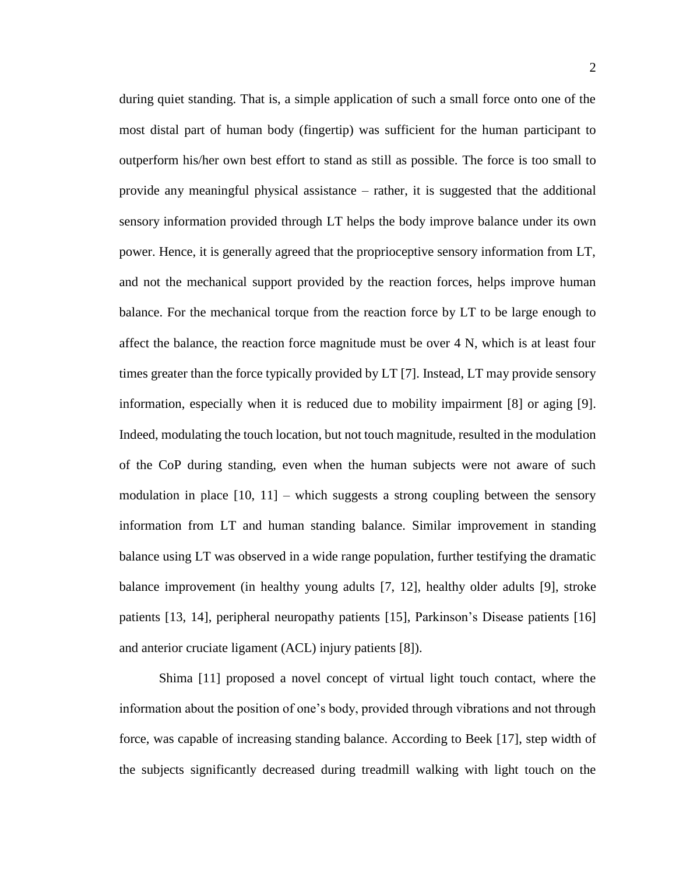during quiet standing. That is, a simple application of such a small force onto one of the most distal part of human body (fingertip) was sufficient for the human participant to outperform his/her own best effort to stand as still as possible. The force is too small to provide any meaningful physical assistance – rather, it is suggested that the additional sensory information provided through LT helps the body improve balance under its own power. Hence, it is generally agreed that the proprioceptive sensory information from LT, and not the mechanical support provided by the reaction forces, helps improve human balance. For the mechanical torque from the reaction force by LT to be large enough to affect the balance, the reaction force magnitude must be over 4 N, which is at least four times greater than the force typically provided by LT [7]. Instead, LT may provide sensory information, especially when it is reduced due to mobility impairment [8] or aging [9]. Indeed, modulating the touch location, but not touch magnitude, resulted in the modulation of the CoP during standing, even when the human subjects were not aware of such modulation in place  $[10, 11]$  – which suggests a strong coupling between the sensory information from LT and human standing balance. Similar improvement in standing balance using LT was observed in a wide range population, further testifying the dramatic balance improvement (in healthy young adults [7, 12], healthy older adults [9], stroke patients [13, 14], peripheral neuropathy patients [15], Parkinson's Disease patients [16] and anterior cruciate ligament (ACL) injury patients [8]).

Shima [11] proposed a novel concept of virtual light touch contact, where the information about the position of one's body, provided through vibrations and not through force, was capable of increasing standing balance. According to Beek [17], step width of the subjects significantly decreased during treadmill walking with light touch on the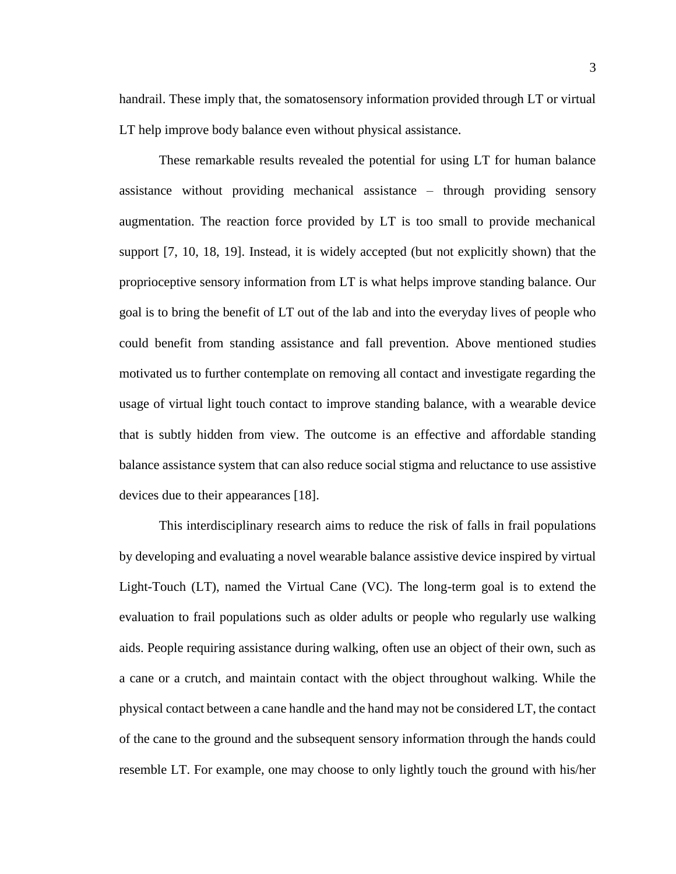handrail. These imply that, the somatosensory information provided through LT or virtual LT help improve body balance even without physical assistance.

These remarkable results revealed the potential for using LT for human balance assistance without providing mechanical assistance – through providing sensory augmentation. The reaction force provided by LT is too small to provide mechanical support [7, 10, 18, 19]. Instead, it is widely accepted (but not explicitly shown) that the proprioceptive sensory information from LT is what helps improve standing balance. Our goal is to bring the benefit of LT out of the lab and into the everyday lives of people who could benefit from standing assistance and fall prevention. Above mentioned studies motivated us to further contemplate on removing all contact and investigate regarding the usage of virtual light touch contact to improve standing balance, with a wearable device that is subtly hidden from view. The outcome is an effective and affordable standing balance assistance system that can also reduce social stigma and reluctance to use assistive devices due to their appearances [18].

This interdisciplinary research aims to reduce the risk of falls in frail populations by developing and evaluating a novel wearable balance assistive device inspired by virtual Light-Touch (LT), named the Virtual Cane (VC). The long-term goal is to extend the evaluation to frail populations such as older adults or people who regularly use walking aids. People requiring assistance during walking, often use an object of their own, such as a cane or a crutch, and maintain contact with the object throughout walking. While the physical contact between a cane handle and the hand may not be considered LT, the contact of the cane to the ground and the subsequent sensory information through the hands could resemble LT. For example, one may choose to only lightly touch the ground with his/her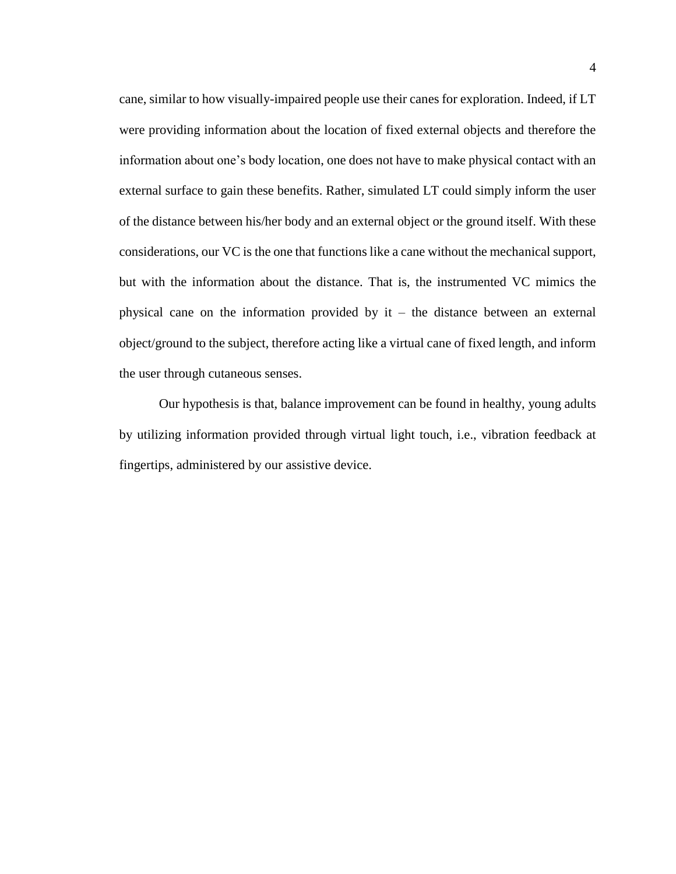cane, similar to how visually-impaired people use their canes for exploration. Indeed, if LT were providing information about the location of fixed external objects and therefore the information about one's body location, one does not have to make physical contact with an external surface to gain these benefits. Rather, simulated LT could simply inform the user of the distance between his/her body and an external object or the ground itself. With these considerations, our VC is the one that functions like a cane without the mechanical support, but with the information about the distance. That is, the instrumented VC mimics the physical cane on the information provided by  $it - the distance between an external$ object/ground to the subject, therefore acting like a virtual cane of fixed length, and inform the user through cutaneous senses.

Our hypothesis is that, balance improvement can be found in healthy, young adults by utilizing information provided through virtual light touch, i.e., vibration feedback at fingertips, administered by our assistive device.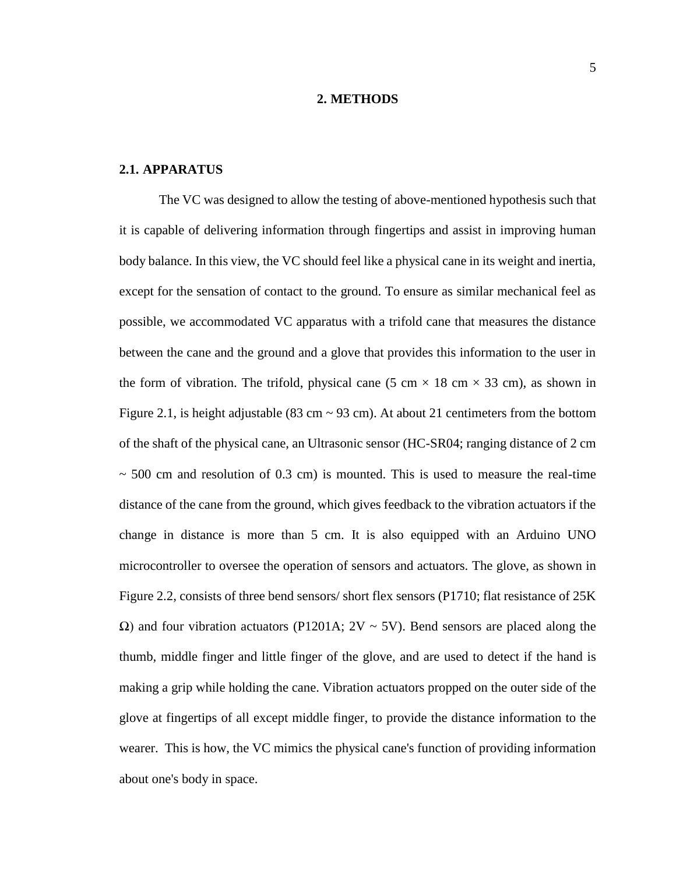#### **2. METHODS**

### **2.1. APPARATUS**

The VC was designed to allow the testing of above-mentioned hypothesis such that it is capable of delivering information through fingertips and assist in improving human body balance. In this view, the VC should feel like a physical cane in its weight and inertia, except for the sensation of contact to the ground. To ensure as similar mechanical feel as possible, we accommodated VC apparatus with a trifold cane that measures the distance between the cane and the ground and a glove that provides this information to the user in the form of vibration. The trifold, physical cane (5 cm  $\times$  18 cm  $\times$  33 cm), as shown in Figure 2.1, is height adjustable (83 cm  $\sim$  93 cm). At about 21 centimeters from the bottom of the shaft of the physical cane, an Ultrasonic sensor (HC-SR04; ranging distance of 2 cm  $\sim$  500 cm and resolution of 0.3 cm) is mounted. This is used to measure the real-time distance of the cane from the ground, which gives feedback to the vibration actuators if the change in distance is more than 5 cm. It is also equipped with an Arduino UNO microcontroller to oversee the operation of sensors and actuators. The glove, as shown in Figure 2.2, consists of three bend sensors/ short flex sensors (P1710; flat resistance of 25K  $Ω$ ) and four vibration actuators (P1201A;  $2V ~ 5V$ ). Bend sensors are placed along the thumb, middle finger and little finger of the glove, and are used to detect if the hand is making a grip while holding the cane. Vibration actuators propped on the outer side of the glove at fingertips of all except middle finger, to provide the distance information to the wearer. This is how, the VC mimics the physical cane's function of providing information about one's body in space.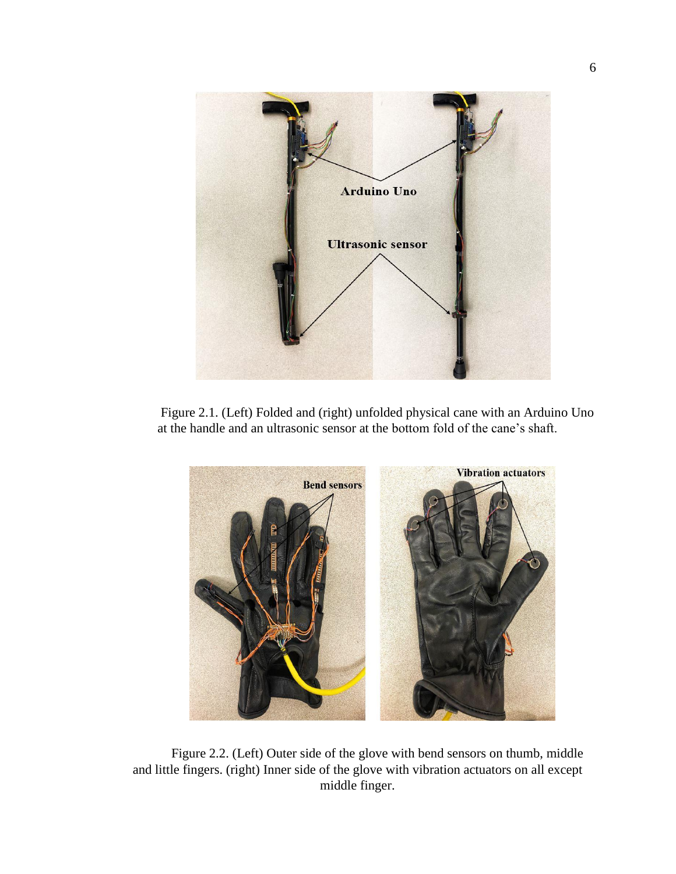

Figure 2.1. (Left) Folded and (right) unfolded physical cane with an Arduino Uno at the handle and an ultrasonic sensor at the bottom fold of the cane's shaft.



Figure 2.2. (Left) Outer side of the glove with bend sensors on thumb, middle and little fingers. (right) Inner side of the glove with vibration actuators on all except middle finger.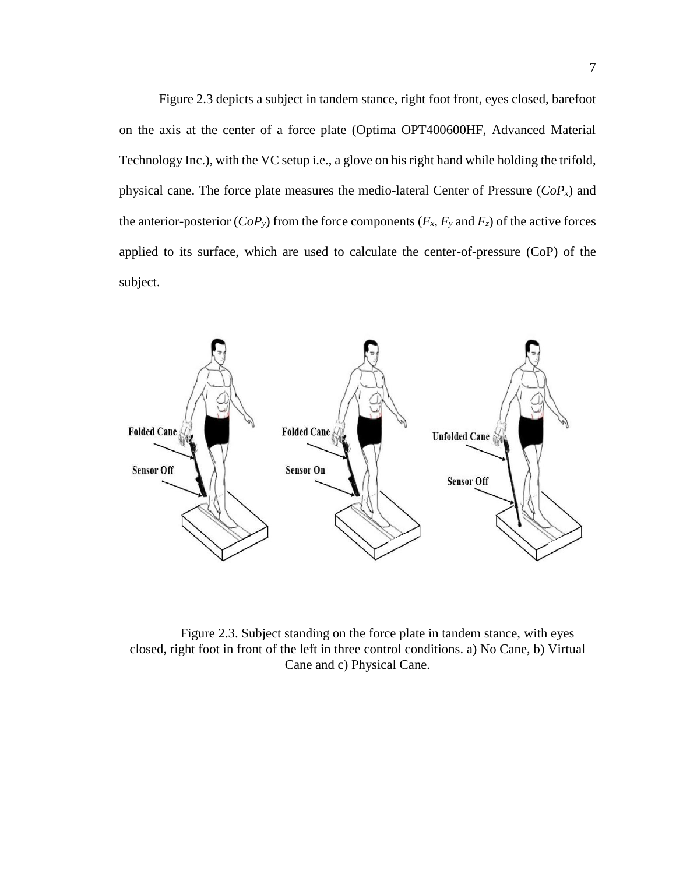Figure 2.3 depicts a subject in tandem stance, right foot front, eyes closed, barefoot on the axis at the center of a force plate (Optima OPT400600HF, Advanced Material Technology Inc.), with the VC setup i.e., a glove on his right hand while holding the trifold, physical cane. The force plate measures the medio-lateral Center of Pressure (*CoPx*) and the anterior-posterior ( $CoP_y$ ) from the force components ( $F_x$ ,  $F_y$  and  $F_z$ ) of the active forces applied to its surface, which are used to calculate the center-of-pressure (CoP) of the subject.



Figure 2.3. Subject standing on the force plate in tandem stance, with eyes closed, right foot in front of the left in three control conditions. a) No Cane, b) Virtual Cane and c) Physical Cane.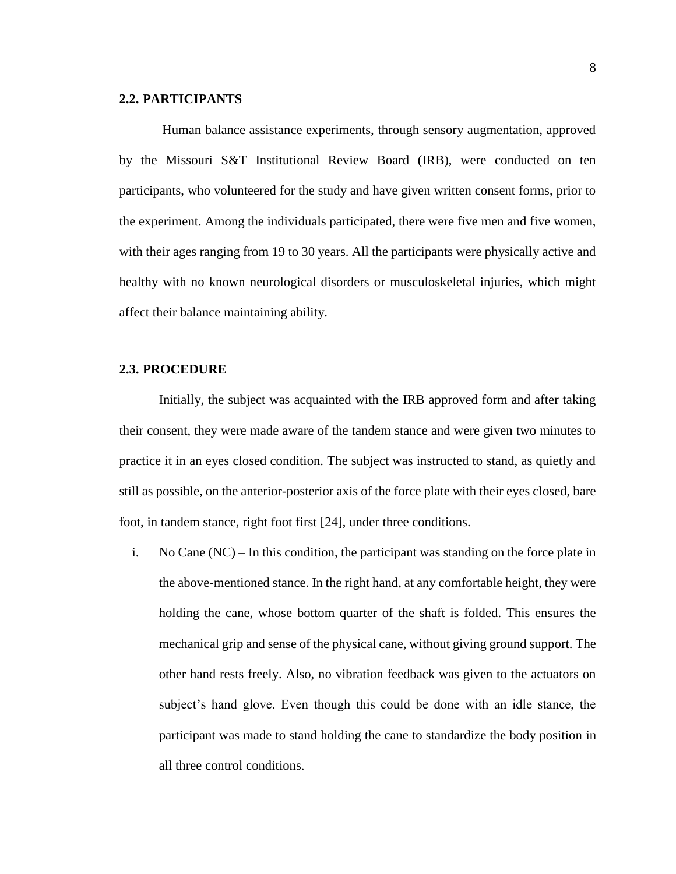#### **2.2. PARTICIPANTS**

Human balance assistance experiments, through sensory augmentation, approved by the Missouri S&T Institutional Review Board (IRB), were conducted on ten participants, who volunteered for the study and have given written consent forms, prior to the experiment. Among the individuals participated, there were five men and five women, with their ages ranging from 19 to 30 years. All the participants were physically active and healthy with no known neurological disorders or musculoskeletal injuries, which might affect their balance maintaining ability.

#### **2.3. PROCEDURE**

Initially, the subject was acquainted with the IRB approved form and after taking their consent, they were made aware of the tandem stance and were given two minutes to practice it in an eyes closed condition. The subject was instructed to stand, as quietly and still as possible, on the anterior-posterior axis of the force plate with their eyes closed, bare foot, in tandem stance, right foot first [24], under three conditions.

i. No Cane (NC) – In this condition, the participant was standing on the force plate in the above-mentioned stance. In the right hand, at any comfortable height, they were holding the cane, whose bottom quarter of the shaft is folded. This ensures the mechanical grip and sense of the physical cane, without giving ground support. The other hand rests freely. Also, no vibration feedback was given to the actuators on subject's hand glove. Even though this could be done with an idle stance, the participant was made to stand holding the cane to standardize the body position in all three control conditions.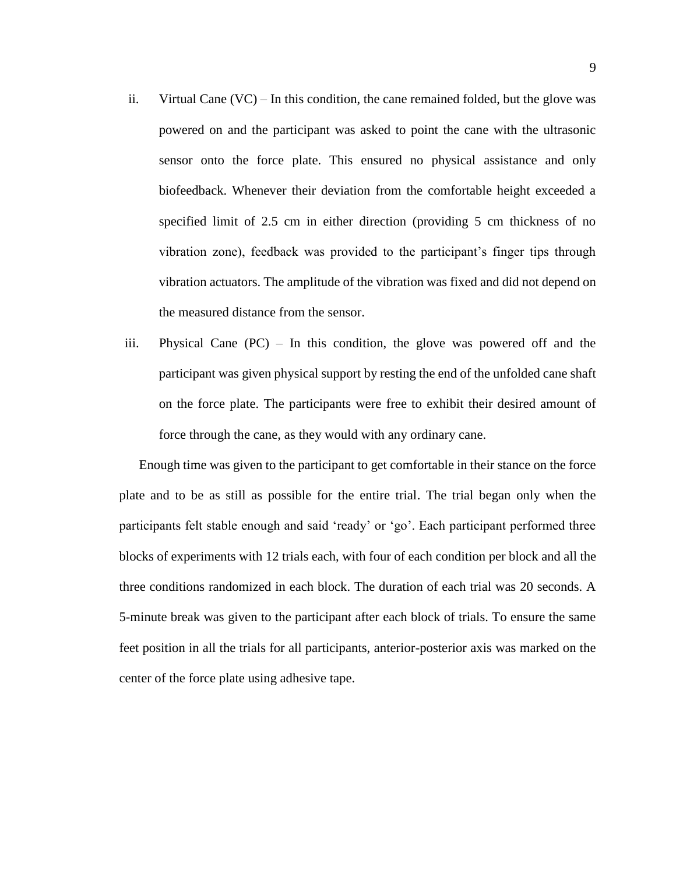- ii. Virtual Cane  $(VC)$  In this condition, the cane remained folded, but the glove was powered on and the participant was asked to point the cane with the ultrasonic sensor onto the force plate. This ensured no physical assistance and only biofeedback. Whenever their deviation from the comfortable height exceeded a specified limit of 2.5 cm in either direction (providing 5 cm thickness of no vibration zone), feedback was provided to the participant's finger tips through vibration actuators. The amplitude of the vibration was fixed and did not depend on the measured distance from the sensor.
- iii. Physical Cane (PC) In this condition, the glove was powered off and the participant was given physical support by resting the end of the unfolded cane shaft on the force plate. The participants were free to exhibit their desired amount of force through the cane, as they would with any ordinary cane.

Enough time was given to the participant to get comfortable in their stance on the force plate and to be as still as possible for the entire trial. The trial began only when the participants felt stable enough and said 'ready' or 'go'. Each participant performed three blocks of experiments with 12 trials each, with four of each condition per block and all the three conditions randomized in each block. The duration of each trial was 20 seconds. A 5-minute break was given to the participant after each block of trials. To ensure the same feet position in all the trials for all participants, anterior-posterior axis was marked on the center of the force plate using adhesive tape.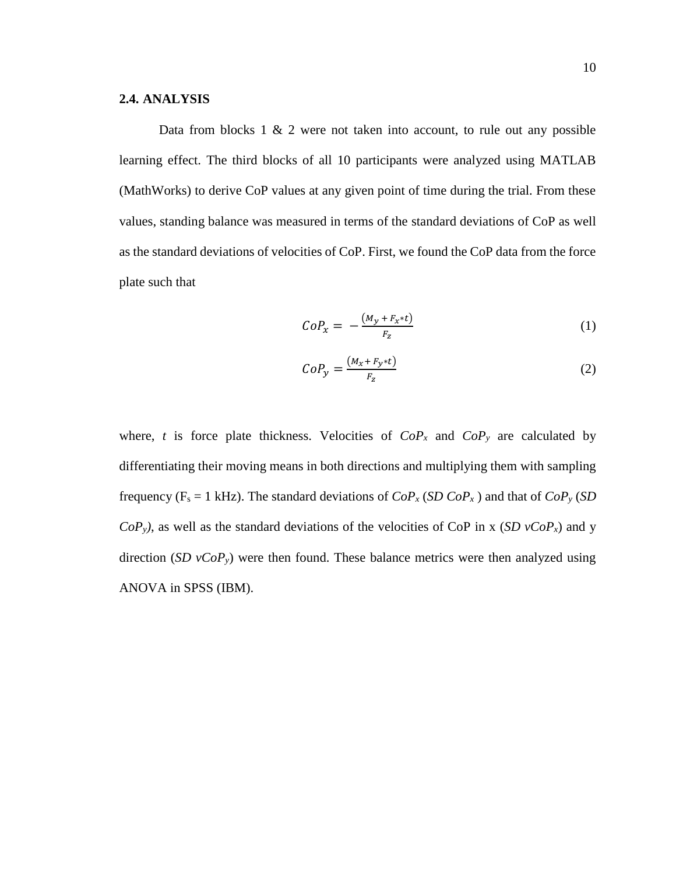#### **2.4. ANALYSIS**

Data from blocks  $1 \& 2$  were not taken into account, to rule out any possible learning effect. The third blocks of all 10 participants were analyzed using MATLAB (MathWorks) to derive CoP values at any given point of time during the trial. From these values, standing balance was measured in terms of the standard deviations of CoP as well as the standard deviations of velocities of CoP. First, we found the CoP data from the force plate such that

$$
CoP_x = -\frac{(M_y + F_x * t)}{F_z} \tag{1}
$$

$$
CoP_{y} = \frac{(M_{x} + F_{y} * t)}{F_{z}}
$$
 (2)

where, *t* is force plate thickness. Velocities of  $CoP_x$  and  $CoP_y$  are calculated by differentiating their moving means in both directions and multiplying them with sampling frequency ( $F_s = 1$  kHz). The standard deviations of  $CoP_x(SDCoP_x)$  and that of  $CoP_y(SD)$  $CoP_v$ , as well as the standard deviations of the velocities of CoP in x (*SD vCoP<sub>x</sub>*) and y direction (*SD*  $vCoP_y$ ) were then found. These balance metrics were then analyzed using ANOVA in SPSS (IBM).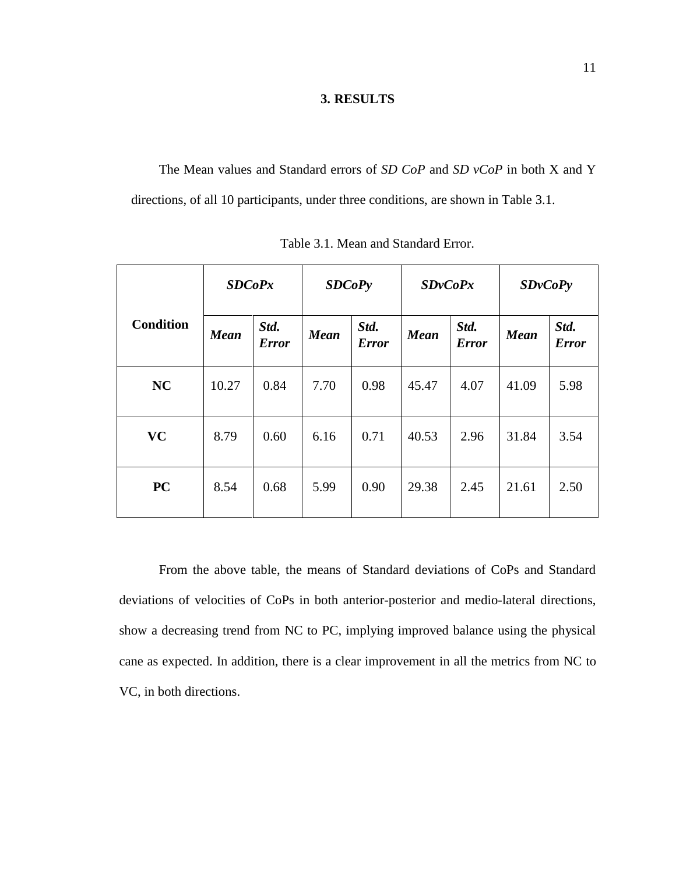### **3. RESULTS**

The Mean values and Standard errors of *SD CoP* and *SD vCoP* in both X and Y directions, of all 10 participants, under three conditions, are shown in Table 3.1.

|                  | SDCoPx<br><b>SDCoPy</b> |                      |             | SDvCoPx              |             | SDvCoPy              |             |                      |
|------------------|-------------------------|----------------------|-------------|----------------------|-------------|----------------------|-------------|----------------------|
| <b>Condition</b> | <b>Mean</b>             | Std.<br><b>Error</b> | <b>Mean</b> | Std.<br><b>Error</b> | <b>Mean</b> | Std.<br><b>Error</b> | <b>Mean</b> | Std.<br><b>Error</b> |
| <b>NC</b>        | 10.27                   | 0.84                 | 7.70        | 0.98                 | 45.47       | 4.07                 | 41.09       | 5.98                 |
| <b>VC</b>        | 8.79                    | 0.60                 | 6.16        | 0.71                 | 40.53       | 2.96                 | 31.84       | 3.54                 |
| <b>PC</b>        | 8.54                    | 0.68                 | 5.99        | 0.90                 | 29.38       | 2.45                 | 21.61       | 2.50                 |

Table 3.1. Mean and Standard Error.

From the above table, the means of Standard deviations of CoPs and Standard deviations of velocities of CoPs in both anterior-posterior and medio-lateral directions, show a decreasing trend from NC to PC, implying improved balance using the physical cane as expected. In addition, there is a clear improvement in all the metrics from NC to VC, in both directions.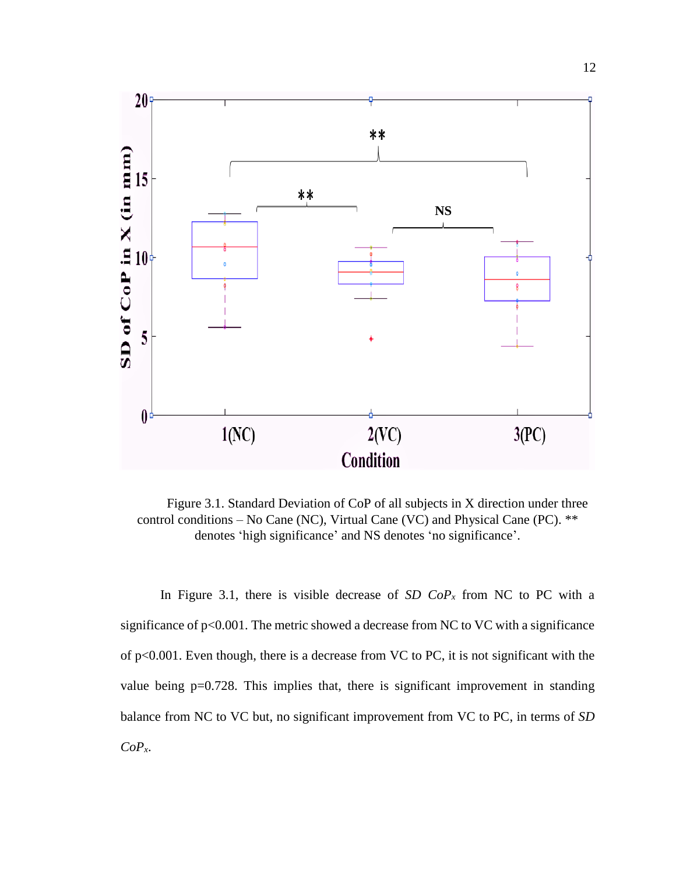

Figure 3.1. Standard Deviation of CoP of all subjects in X direction under three control conditions – No Cane (NC), Virtual Cane (VC) and Physical Cane (PC). \*\* denotes 'high significance' and NS denotes 'no significance'.

In Figure 3.1, there is visible decrease of *SD CoP<sub>x</sub>* from NC to PC with a significance of  $p<0.001$ . The metric showed a decrease from NC to VC with a significance of p<0.001. Even though, there is a decrease from VC to PC, it is not significant with the value being p=0.728. This implies that, there is significant improvement in standing balance from NC to VC but, no significant improvement from VC to PC, in terms of *SD CoPx*.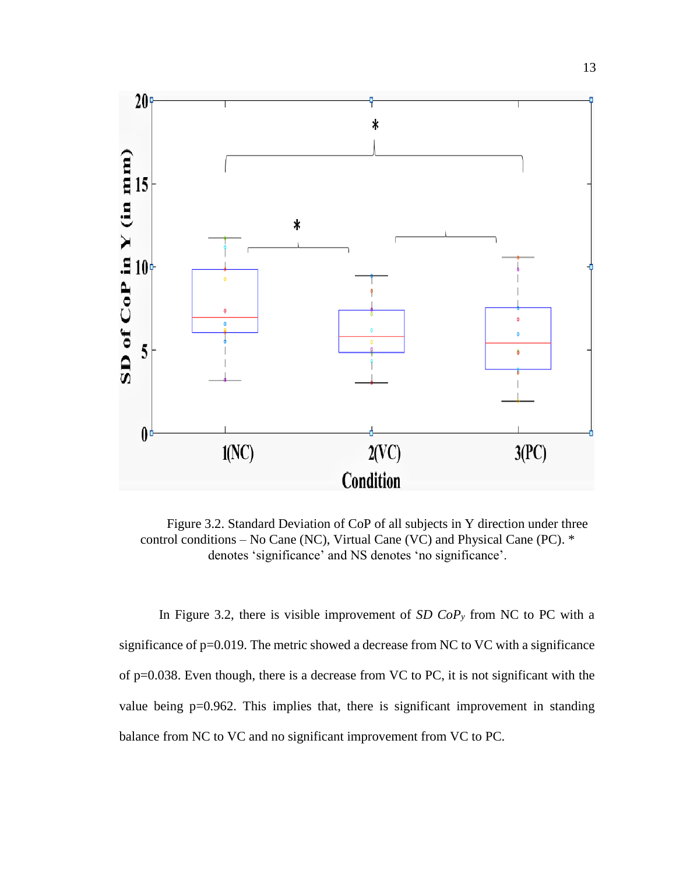

Figure 3.2. Standard Deviation of CoP of all subjects in Y direction under three control conditions – No Cane (NC), Virtual Cane (VC) and Physical Cane (PC). \* denotes 'significance' and NS denotes 'no significance'.

In Figure 3.2, there is visible improvement of *SD CoP<sup>y</sup>* from NC to PC with a significance of p=0.019. The metric showed a decrease from NC to VC with a significance of p=0.038. Even though, there is a decrease from VC to PC, it is not significant with the value being p=0.962. This implies that, there is significant improvement in standing balance from NC to VC and no significant improvement from VC to PC.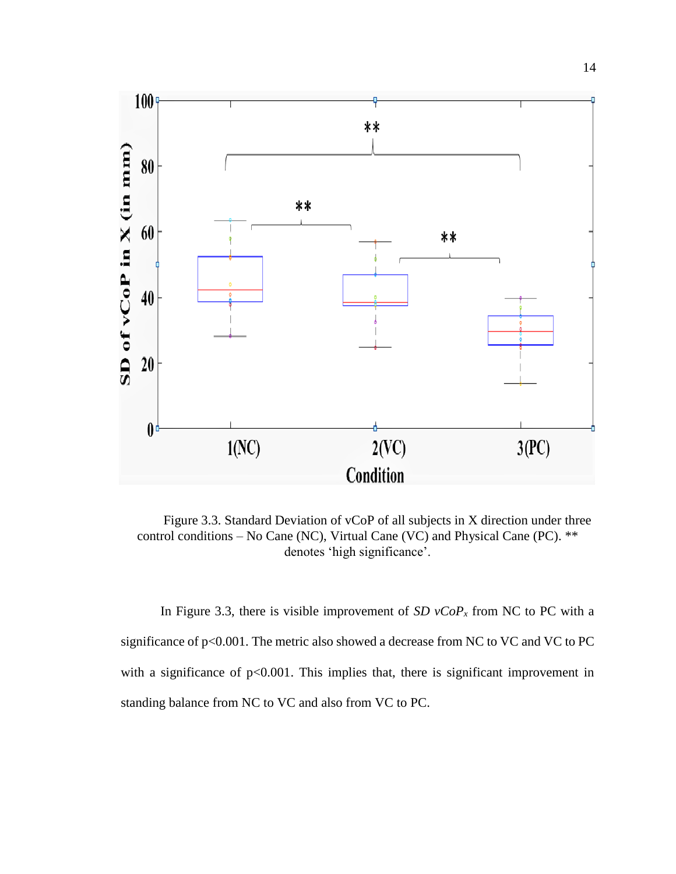

Figure 3.3. Standard Deviation of vCoP of all subjects in X direction under three control conditions – No Cane (NC), Virtual Cane (VC) and Physical Cane (PC). \*\* denotes 'high significance'.

In Figure 3.3, there is visible improvement of  $SD$   $vCoP<sub>x</sub>$  from NC to PC with a significance of p<0.001. The metric also showed a decrease from NC to VC and VC to PC with a significance of  $p<0.001$ . This implies that, there is significant improvement in standing balance from NC to VC and also from VC to PC.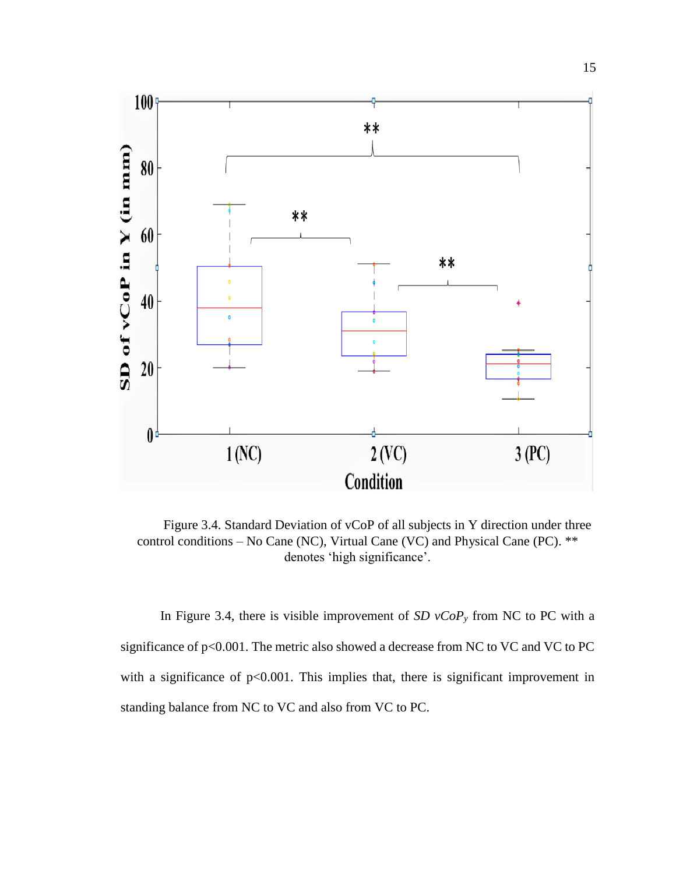

Figure 3.4. Standard Deviation of vCoP of all subjects in Y direction under three control conditions – No Cane (NC), Virtual Cane (VC) and Physical Cane (PC). \*\* denotes 'high significance'.

In Figure 3.4, there is visible improvement of *SD vCoP<sup>y</sup>* from NC to PC with a significance of p<0.001. The metric also showed a decrease from NC to VC and VC to PC with a significance of  $p<0.001$ . This implies that, there is significant improvement in standing balance from NC to VC and also from VC to PC.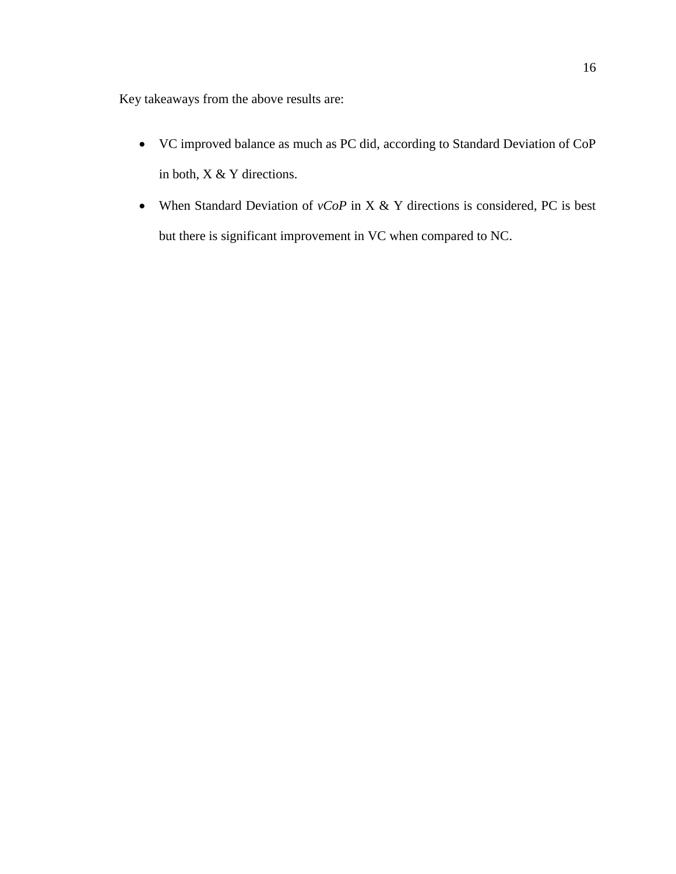Key takeaways from the above results are:

- VC improved balance as much as PC did, according to Standard Deviation of CoP in both, X & Y directions.
- When Standard Deviation of *vCoP* in X & Y directions is considered, PC is best but there is significant improvement in VC when compared to NC.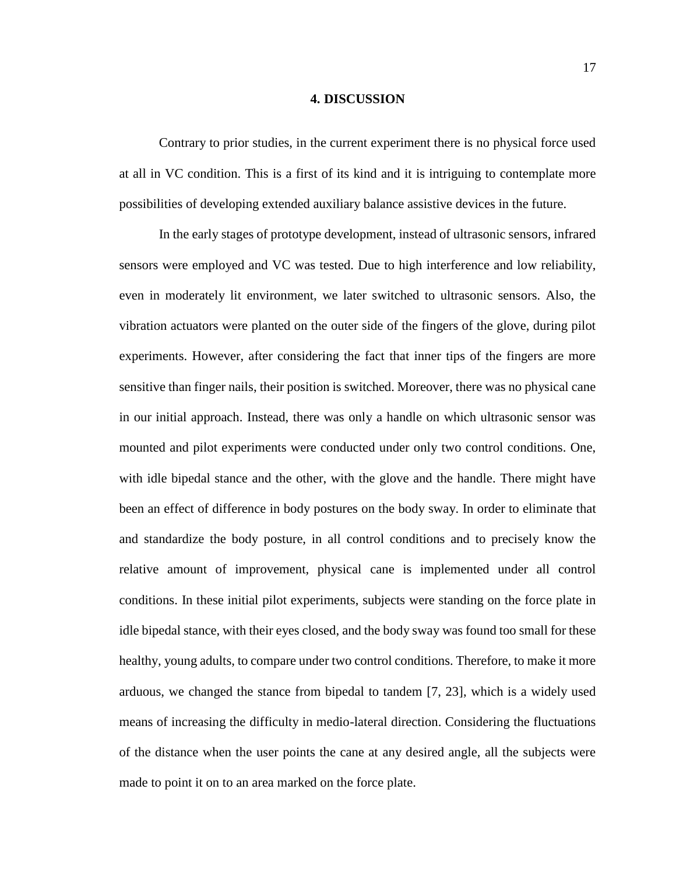#### **4. DISCUSSION**

Contrary to prior studies, in the current experiment there is no physical force used at all in VC condition. This is a first of its kind and it is intriguing to contemplate more possibilities of developing extended auxiliary balance assistive devices in the future.

In the early stages of prototype development, instead of ultrasonic sensors, infrared sensors were employed and VC was tested. Due to high interference and low reliability, even in moderately lit environment, we later switched to ultrasonic sensors. Also, the vibration actuators were planted on the outer side of the fingers of the glove, during pilot experiments. However, after considering the fact that inner tips of the fingers are more sensitive than finger nails, their position is switched. Moreover, there was no physical cane in our initial approach. Instead, there was only a handle on which ultrasonic sensor was mounted and pilot experiments were conducted under only two control conditions. One, with idle bipedal stance and the other, with the glove and the handle. There might have been an effect of difference in body postures on the body sway. In order to eliminate that and standardize the body posture, in all control conditions and to precisely know the relative amount of improvement, physical cane is implemented under all control conditions. In these initial pilot experiments, subjects were standing on the force plate in idle bipedal stance, with their eyes closed, and the body sway was found too small for these healthy, young adults, to compare under two control conditions. Therefore, to make it more arduous, we changed the stance from bipedal to tandem [7, 23], which is a widely used means of increasing the difficulty in medio-lateral direction. Considering the fluctuations of the distance when the user points the cane at any desired angle, all the subjects were made to point it on to an area marked on the force plate.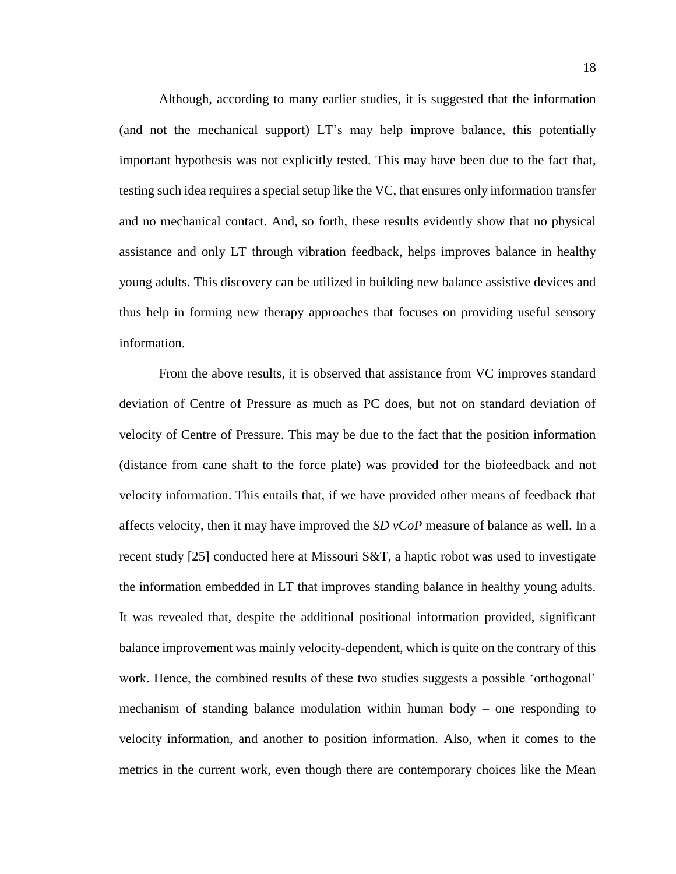Although, according to many earlier studies, it is suggested that the information (and not the mechanical support) LT's may help improve balance, this potentially important hypothesis was not explicitly tested. This may have been due to the fact that, testing such idea requires a special setup like the VC, that ensures only information transfer and no mechanical contact. And, so forth, these results evidently show that no physical assistance and only LT through vibration feedback, helps improves balance in healthy young adults. This discovery can be utilized in building new balance assistive devices and thus help in forming new therapy approaches that focuses on providing useful sensory information.

From the above results, it is observed that assistance from VC improves standard deviation of Centre of Pressure as much as PC does, but not on standard deviation of velocity of Centre of Pressure. This may be due to the fact that the position information (distance from cane shaft to the force plate) was provided for the biofeedback and not velocity information. This entails that, if we have provided other means of feedback that affects velocity, then it may have improved the *SD vCoP* measure of balance as well. In a recent study [25] conducted here at Missouri S&T, a haptic robot was used to investigate the information embedded in LT that improves standing balance in healthy young adults. It was revealed that, despite the additional positional information provided, significant balance improvement was mainly velocity-dependent, which is quite on the contrary of this work. Hence, the combined results of these two studies suggests a possible 'orthogonal' mechanism of standing balance modulation within human body – one responding to velocity information, and another to position information. Also, when it comes to the metrics in the current work, even though there are contemporary choices like the Mean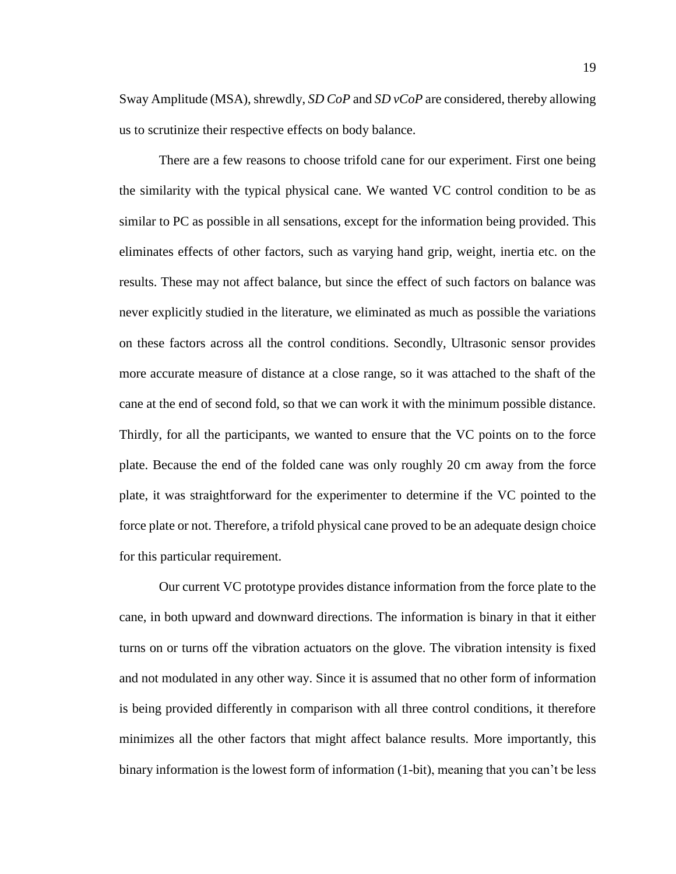Sway Amplitude (MSA), shrewdly, *SD CoP* and *SD vCoP* are considered, thereby allowing us to scrutinize their respective effects on body balance.

There are a few reasons to choose trifold cane for our experiment. First one being the similarity with the typical physical cane. We wanted VC control condition to be as similar to PC as possible in all sensations, except for the information being provided. This eliminates effects of other factors, such as varying hand grip, weight, inertia etc. on the results. These may not affect balance, but since the effect of such factors on balance was never explicitly studied in the literature, we eliminated as much as possible the variations on these factors across all the control conditions. Secondly, Ultrasonic sensor provides more accurate measure of distance at a close range, so it was attached to the shaft of the cane at the end of second fold, so that we can work it with the minimum possible distance. Thirdly, for all the participants, we wanted to ensure that the VC points on to the force plate. Because the end of the folded cane was only roughly 20 cm away from the force plate, it was straightforward for the experimenter to determine if the VC pointed to the force plate or not. Therefore, a trifold physical cane proved to be an adequate design choice for this particular requirement.

Our current VC prototype provides distance information from the force plate to the cane, in both upward and downward directions. The information is binary in that it either turns on or turns off the vibration actuators on the glove. The vibration intensity is fixed and not modulated in any other way. Since it is assumed that no other form of information is being provided differently in comparison with all three control conditions, it therefore minimizes all the other factors that might affect balance results. More importantly, this binary information is the lowest form of information (1-bit), meaning that you can't be less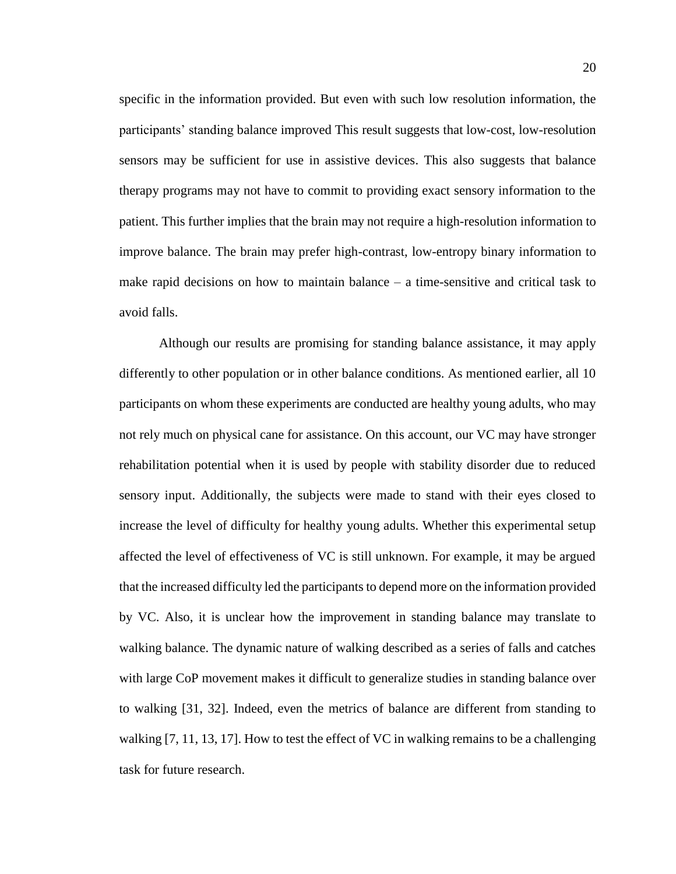specific in the information provided. But even with such low resolution information, the participants' standing balance improved This result suggests that low-cost, low-resolution sensors may be sufficient for use in assistive devices. This also suggests that balance therapy programs may not have to commit to providing exact sensory information to the patient. This further implies that the brain may not require a high-resolution information to improve balance. The brain may prefer high-contrast, low-entropy binary information to make rapid decisions on how to maintain balance  $-$  a time-sensitive and critical task to avoid falls.

Although our results are promising for standing balance assistance, it may apply differently to other population or in other balance conditions. As mentioned earlier, all 10 participants on whom these experiments are conducted are healthy young adults, who may not rely much on physical cane for assistance. On this account, our VC may have stronger rehabilitation potential when it is used by people with stability disorder due to reduced sensory input. Additionally, the subjects were made to stand with their eyes closed to increase the level of difficulty for healthy young adults. Whether this experimental setup affected the level of effectiveness of VC is still unknown. For example, it may be argued that the increased difficulty led the participants to depend more on the information provided by VC. Also, it is unclear how the improvement in standing balance may translate to walking balance. The dynamic nature of walking described as a series of falls and catches with large CoP movement makes it difficult to generalize studies in standing balance over to walking [31, 32]. Indeed, even the metrics of balance are different from standing to walking [7, 11, 13, 17]. How to test the effect of VC in walking remains to be a challenging task for future research.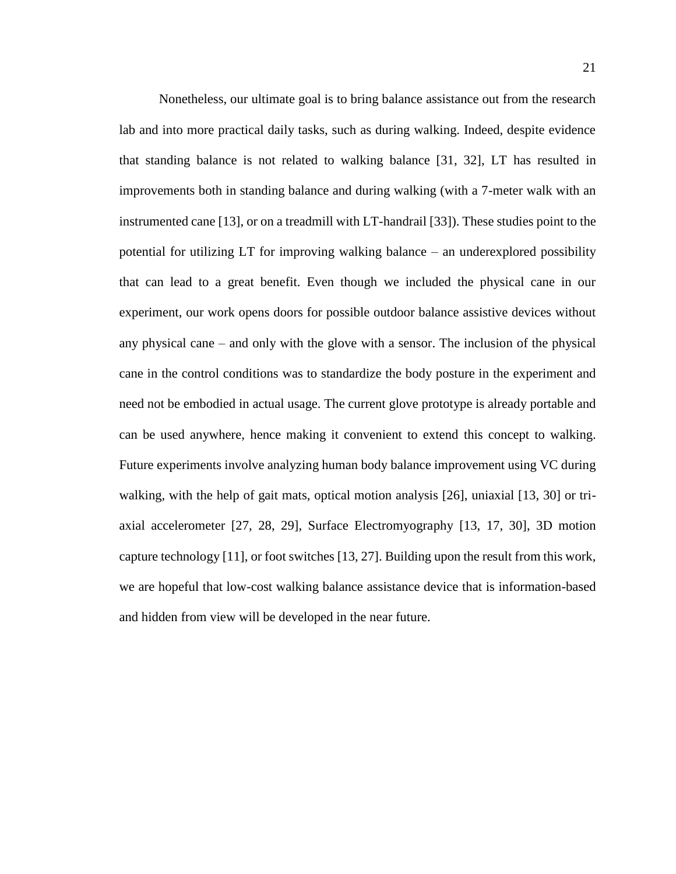Nonetheless, our ultimate goal is to bring balance assistance out from the research lab and into more practical daily tasks, such as during walking. Indeed, despite evidence that standing balance is not related to walking balance [31, 32], LT has resulted in improvements both in standing balance and during walking (with a 7-meter walk with an instrumented cane [13], or on a treadmill with LT-handrail [33]). These studies point to the potential for utilizing LT for improving walking balance – an underexplored possibility that can lead to a great benefit. Even though we included the physical cane in our experiment, our work opens doors for possible outdoor balance assistive devices without any physical cane – and only with the glove with a sensor. The inclusion of the physical cane in the control conditions was to standardize the body posture in the experiment and need not be embodied in actual usage. The current glove prototype is already portable and can be used anywhere, hence making it convenient to extend this concept to walking. Future experiments involve analyzing human body balance improvement using VC during walking, with the help of gait mats, optical motion analysis [26], uniaxial [13, 30] or triaxial accelerometer [27, 28, 29], Surface Electromyography [13, 17, 30], 3D motion capture technology [11], or foot switches [13, 27]. Building upon the result from this work, we are hopeful that low-cost walking balance assistance device that is information-based and hidden from view will be developed in the near future.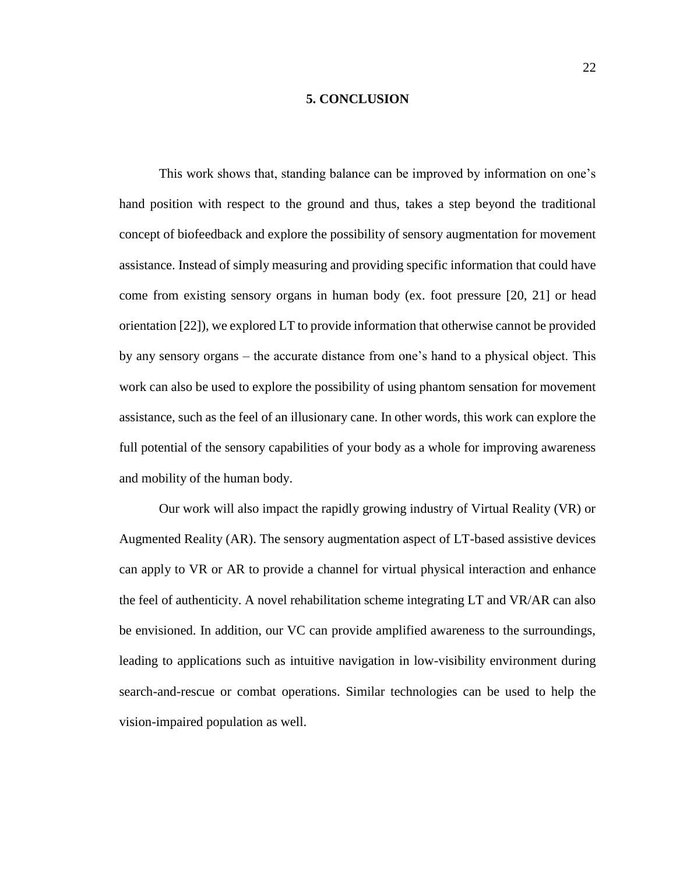#### **5. CONCLUSION**

This work shows that, standing balance can be improved by information on one's hand position with respect to the ground and thus, takes a step beyond the traditional concept of biofeedback and explore the possibility of sensory augmentation for movement assistance. Instead of simply measuring and providing specific information that could have come from existing sensory organs in human body (ex. foot pressure [20, 21] or head orientation [22]), we explored LT to provide information that otherwise cannot be provided by any sensory organs – the accurate distance from one's hand to a physical object. This work can also be used to explore the possibility of using phantom sensation for movement assistance, such as the feel of an illusionary cane. In other words, this work can explore the full potential of the sensory capabilities of your body as a whole for improving awareness and mobility of the human body.

Our work will also impact the rapidly growing industry of Virtual Reality (VR) or Augmented Reality (AR). The sensory augmentation aspect of LT-based assistive devices can apply to VR or AR to provide a channel for virtual physical interaction and enhance the feel of authenticity. A novel rehabilitation scheme integrating LT and VR/AR can also be envisioned. In addition, our VC can provide amplified awareness to the surroundings, leading to applications such as intuitive navigation in low-visibility environment during search-and-rescue or combat operations. Similar technologies can be used to help the vision-impaired population as well.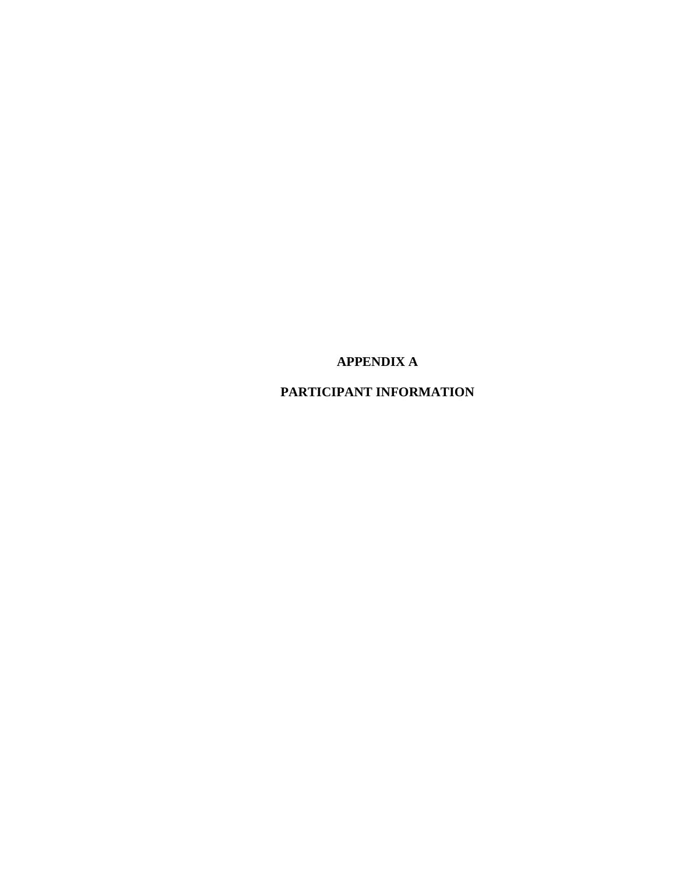**APPENDIX A**

**PARTICIPANT INFORMATION**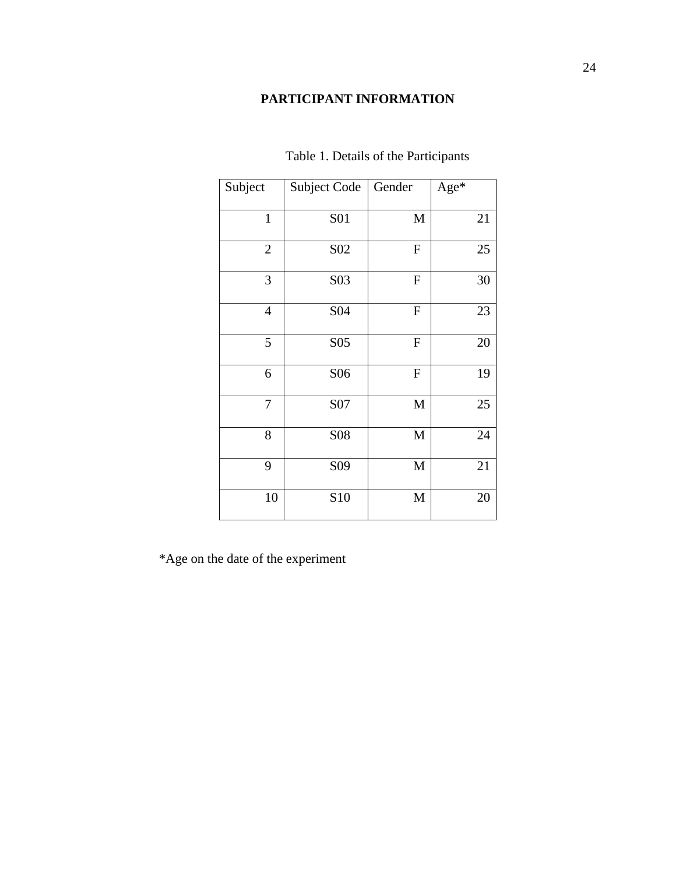# **PARTICIPANT INFORMATION**

| Subject        | Subject Code    | Gender      | Age* |
|----------------|-----------------|-------------|------|
| $\mathbf{1}$   | <b>S01</b>      | $\mathbf M$ | 21   |
| $\mathbf{2}$   | S <sub>02</sub> | ${\bf F}$   | 25   |
| $\mathfrak{Z}$ | S03             | ${\bf F}$   | 30   |
| $\overline{4}$ | S <sub>04</sub> | ${\bf F}$   | 23   |
| 5              | S <sub>05</sub> | ${\bf F}$   | 20   |
| 6              | S <sub>06</sub> | ${\bf F}$   | 19   |
| $\overline{7}$ | S07             | $\mathbf M$ | 25   |
| 8              | <b>S08</b>      | $\mathbf M$ | 24   |
| 9              | S <sub>09</sub> | $\mathbf M$ | 21   |
| 10             | S10             | $\mathbf M$ | 20   |

# Table 1. Details of the Participants

\*Age on the date of the experiment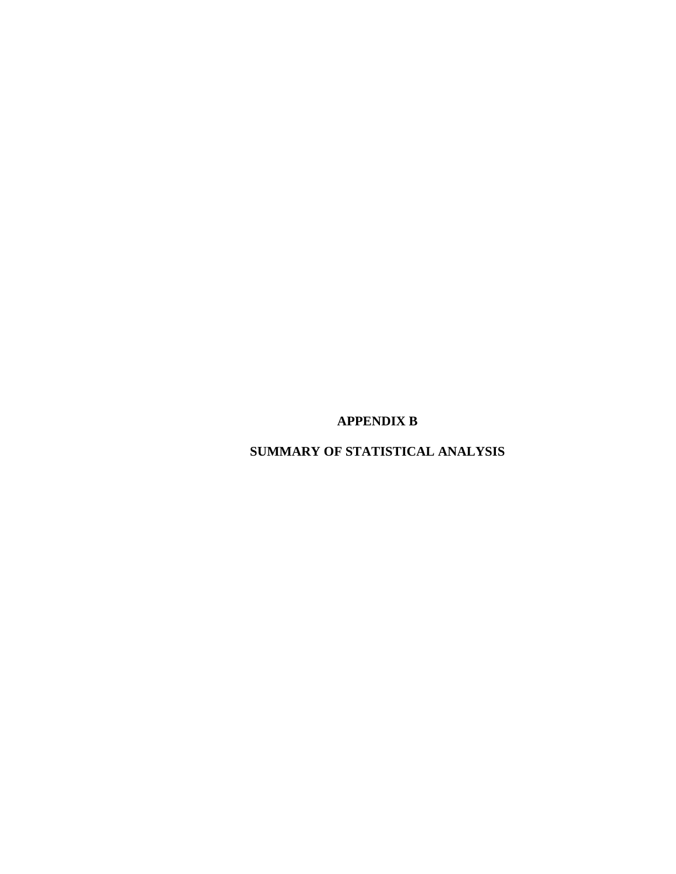**APPENDIX B**

**SUMMARY OF STATISTICAL ANALYSIS**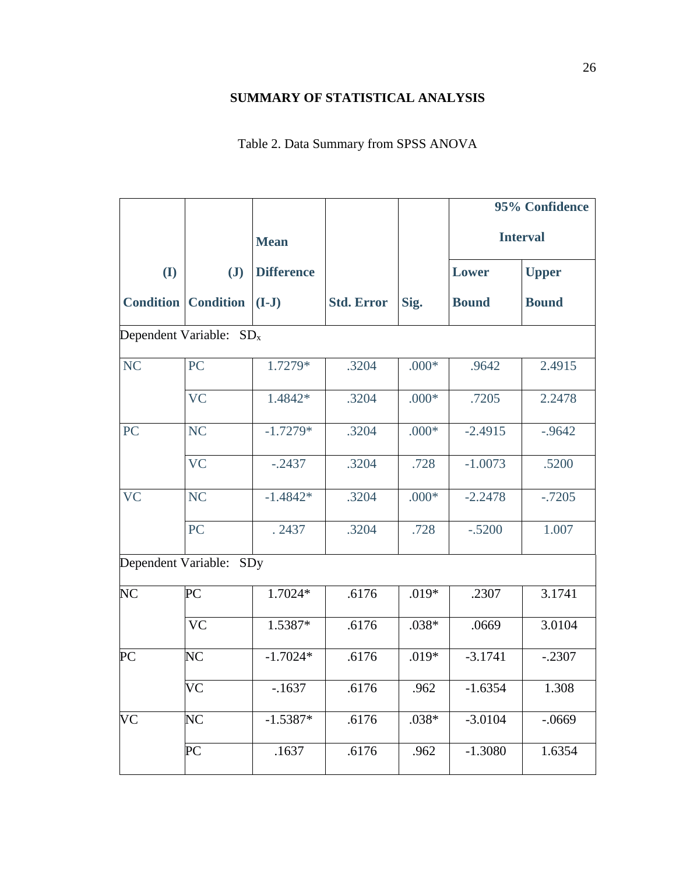# **SUMMARY OF STATISTICAL ANALYSIS**

# Table 2. Data Summary from SPSS ANOVA

|                     |                                     |                   |                   |         | 95% Confidence |                 |
|---------------------|-------------------------------------|-------------------|-------------------|---------|----------------|-----------------|
|                     |                                     | <b>Mean</b>       |                   |         |                | <b>Interval</b> |
| (I)                 | $\mathbf{J}$                        | <b>Difference</b> |                   |         | Lower          | <b>Upper</b>    |
| <b>Condition</b>    | <b>Condition</b>                    | $(I-J)$           | <b>Std. Error</b> | Sig.    | <b>Bound</b>   | <b>Bound</b>    |
|                     | Dependent Variable: SD <sub>x</sub> |                   |                   |         |                |                 |
| <b>NC</b>           | PC                                  | 1.7279*           | .3204             | $.000*$ | .9642          | 2.4915          |
|                     | <b>VC</b>                           | 1.4842*           | .3204             | $.000*$ | .7205          | 2.2478          |
| PC                  | <b>NC</b>                           | $-1.7279*$        | .3204             | $.000*$ | $-2.4915$      | $-0.9642$       |
|                     | <b>VC</b>                           | $-.2437$          | .3204             | .728    | $-1.0073$      | .5200           |
| <b>VC</b>           | <b>NC</b>                           | $-1.4842*$        | .3204             | $.000*$ | $-2.2478$      | $-.7205$        |
|                     | PC                                  | . 2437            | .3204             | .728    | $-.5200$       | 1.007           |
| Dependent Variable: | SDy                                 |                   |                   |         |                |                 |
| NC                  | PC                                  | 1.7024*           | .6176             | $.019*$ | .2307          | 3.1741          |
|                     | <b>VC</b>                           | 1.5387*           | .6176             | $.038*$ | .0669          | 3.0104          |
| PC                  | N <sub>C</sub>                      | $-1.7024*$        | .6176             | $.019*$ | $-3.1741$      | $-.2307$        |
|                     | VC                                  | $-1637$           | .6176             | .962    | $-1.6354$      | 1.308           |
| VC                  | NC                                  | $-1.5387*$        | .6176             | $.038*$ | $-3.0104$      | $-.0669$        |
|                     | PC                                  | .1637             | .6176             | .962    | $-1.3080$      | 1.6354          |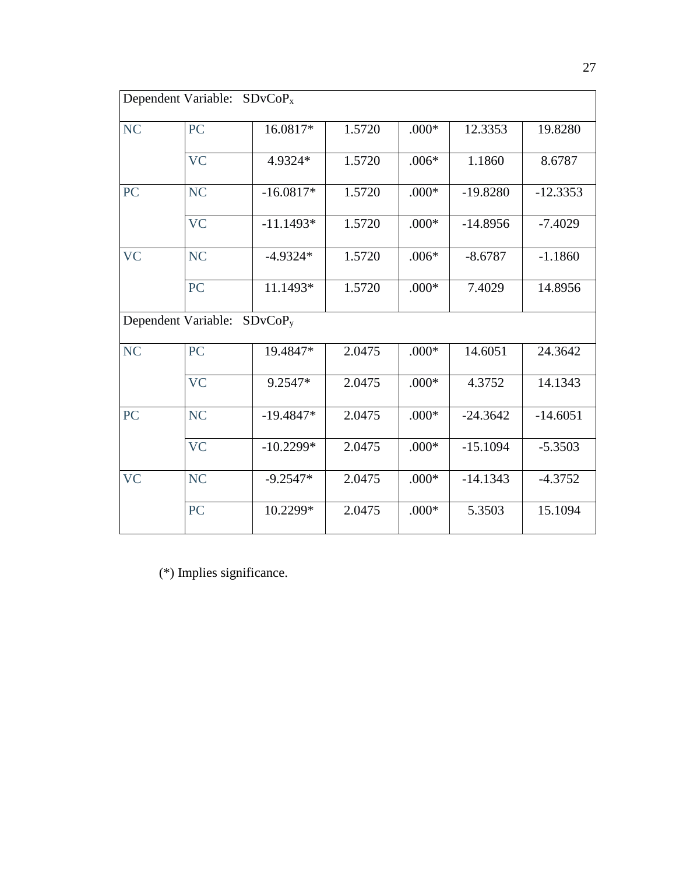|           | Dependent Variable: SDvCoP <sub>x</sub> |             |        |         |            |            |
|-----------|-----------------------------------------|-------------|--------|---------|------------|------------|
| <b>NC</b> | PC                                      | 16.0817*    | 1.5720 | $.000*$ | 12.3353    | 19.8280    |
|           | <b>VC</b>                               | 4.9324*     | 1.5720 | $.006*$ | 1.1860     | 8.6787     |
| PC        | <b>NC</b>                               | $-16.0817*$ | 1.5720 | $.000*$ | $-19.8280$ | $-12.3353$ |
|           | <b>VC</b>                               | $-11.1493*$ | 1.5720 | $.000*$ | $-14.8956$ | $-7.4029$  |
| <b>VC</b> | <b>NC</b>                               | $-4.9324*$  | 1.5720 | $.006*$ | $-8.6787$  | $-1.1860$  |
|           | PC                                      | 11.1493*    | 1.5720 | $.000*$ | 7.4029     | 14.8956    |
|           | Dependent Variable: SDvCoP <sub>v</sub> |             |        |         |            |            |
| <b>NC</b> | <b>PC</b>                               | 19.4847*    | 2.0475 | $.000*$ | 14.6051    | 24.3642    |
|           | <b>VC</b>                               | 9.2547*     | 2.0475 | $.000*$ | 4.3752     | 14.1343    |
| PC        | <b>NC</b>                               | $-19.4847*$ | 2.0475 | $.000*$ | $-24.3642$ | $-14.6051$ |
|           | <b>VC</b>                               | $-10.2299*$ | 2.0475 | $.000*$ | $-15.1094$ | $-5.3503$  |
| <b>VC</b> | <b>NC</b>                               | $-9.2547*$  | 2.0475 | $.000*$ | $-14.1343$ | $-4.3752$  |
|           | PC                                      | 10.2299*    | 2.0475 | $.000*$ | 5.3503     | 15.1094    |

(\*) Implies significance.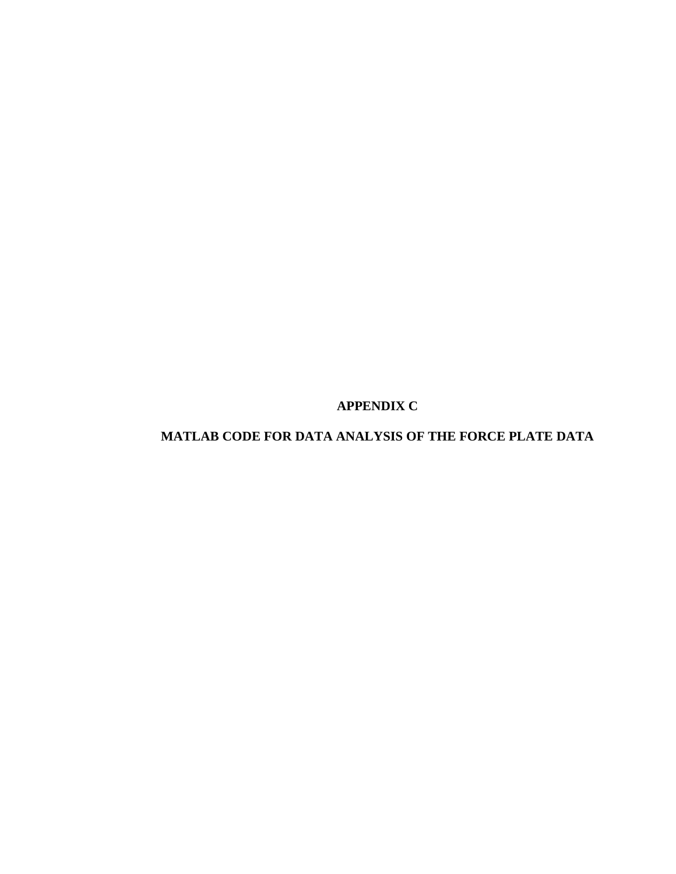**APPENDIX C**

**MATLAB CODE FOR DATA ANALYSIS OF THE FORCE PLATE DATA**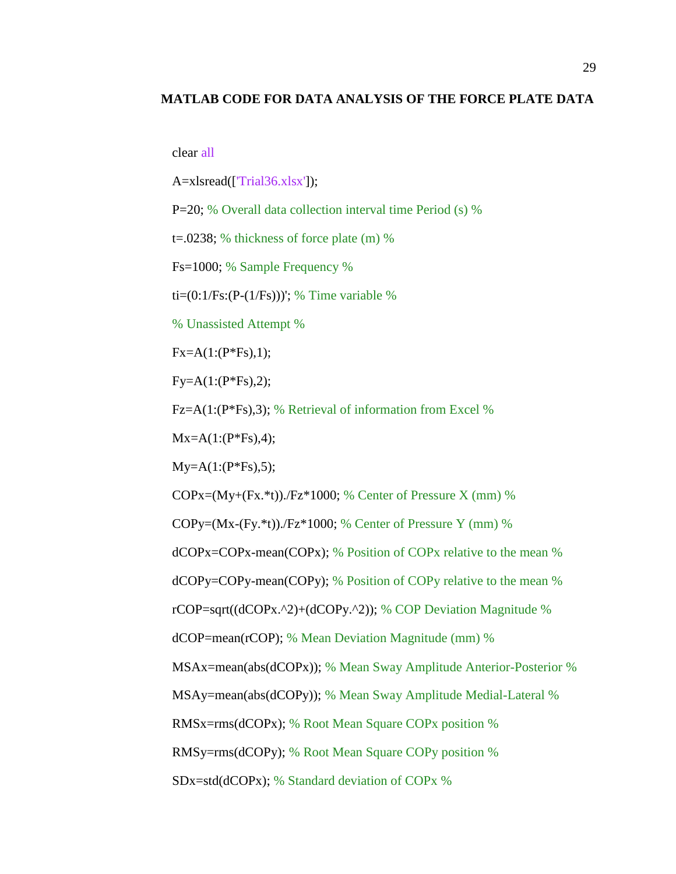#### **MATLAB CODE FOR DATA ANALYSIS OF THE FORCE PLATE DATA**

clear all

A=xlsread(['Trial36.xlsx']);

P=20; % Overall data collection interval time Period (s) %

t=.0238; % thickness of force plate (m) %

Fs=1000; % Sample Frequency %

ti= $(0:1/Fs:(P-(1/Fs)))$ ; % Time variable %

% Unassisted Attempt %

 $Fx = A(1:(P*Fs),1);$ 

 $Fy = A(1:(P*Fs),2);$ 

Fz=A(1:(P\*Fs),3); % Retrieval of information from Excel %

 $Mx=A(1:(P*Fs),4);$ 

 $My=A(1:(P*Fs),5);$ 

 $COPx=(My+(Fx.*t))./Fz*1000; %$  Center of Pressure X (mm) %

COPy= $(Mx-(Fy.*t))$ ./Fz $*1000$ ; % Center of Pressure Y (mm) %

dCOPx=COPx-mean(COPx); % Position of COPx relative to the mean %

dCOPy=COPy-mean(COPy); % Position of COPy relative to the mean %

rCOP=sqrt((dCOPx.^2)+(dCOPy.^2)); % COP Deviation Magnitude %

dCOP=mean(rCOP); % Mean Deviation Magnitude (mm) %

MSAx=mean(abs(dCOPx)); % Mean Sway Amplitude Anterior-Posterior %

MSAy=mean(abs(dCOPy)); % Mean Sway Amplitude Medial-Lateral %

RMSx=rms(dCOPx); % Root Mean Square COPx position %

RMSy=rms(dCOPy); % Root Mean Square COPy position %

SDx=std(dCOPx); % Standard deviation of COPx %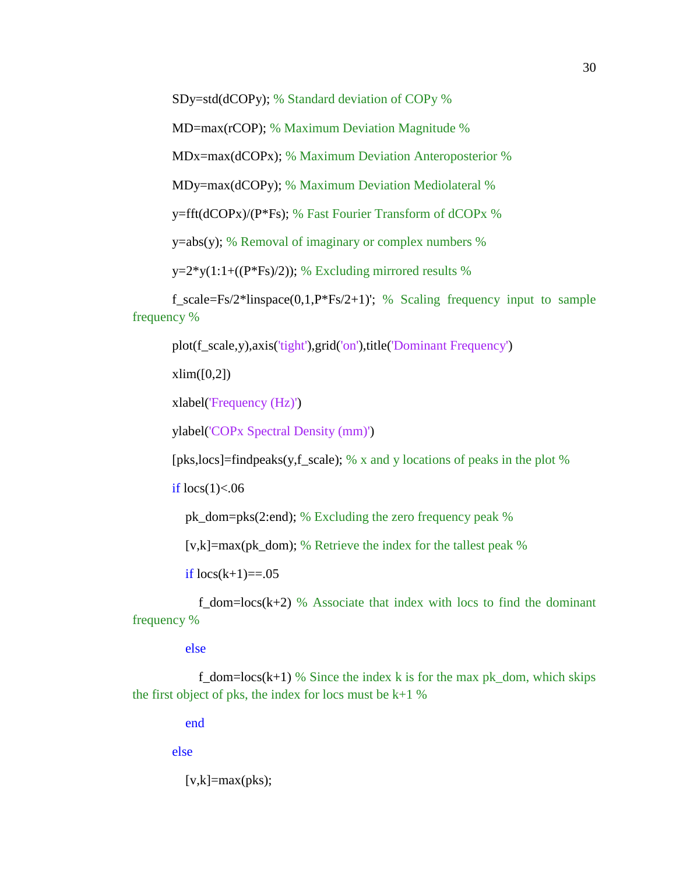SDy=std(dCOPy); % Standard deviation of COPy %

MD=max(rCOP); % Maximum Deviation Magnitude %

MDx=max(dCOPx); % Maximum Deviation Anteroposterior %

MDy=max(dCOPy); % Maximum Deviation Mediolateral %

y=fft(dCOPx)/(P\*Fs); % Fast Fourier Transform of dCOPx %

 $y = abs(y)$ ; % Removal of imaginary or complex numbers %

 $y=2*y(1:1+((P*Fs)/2));$  % Excluding mirrored results %

f\_scale=Fs/2\*linspace(0,1,P\*Fs/2+1)'; % Scaling frequency input to sample frequency %

plot(f\_scale,y),axis('tight'),grid('on'),title('Dominant Frequency')

 $xlim([0,2])$ 

xlabel('Frequency (Hz)')

ylabel('COPx Spectral Density (mm)')

[pks,locs]=findpeaks(y,f\_scale); % x and y locations of peaks in the plot %

if  $\text{locs}(1)$  <.06

pk\_dom=pks(2:end); % Excluding the zero frequency peak %

[v,k]=max(pk\_dom); % Retrieve the index for the tallest peak  $%$ 

if  $locs(k+1)=0.05$ 

f dom=locs( $k+2$ ) % Associate that index with locs to find the dominant frequency %

#### else

f\_dom=locs(k+1) % Since the index k is for the max pk\_dom, which skips the first object of pks, the index for locs must be  $k+1$  %

end

else

 $[v,k] = max(pks);$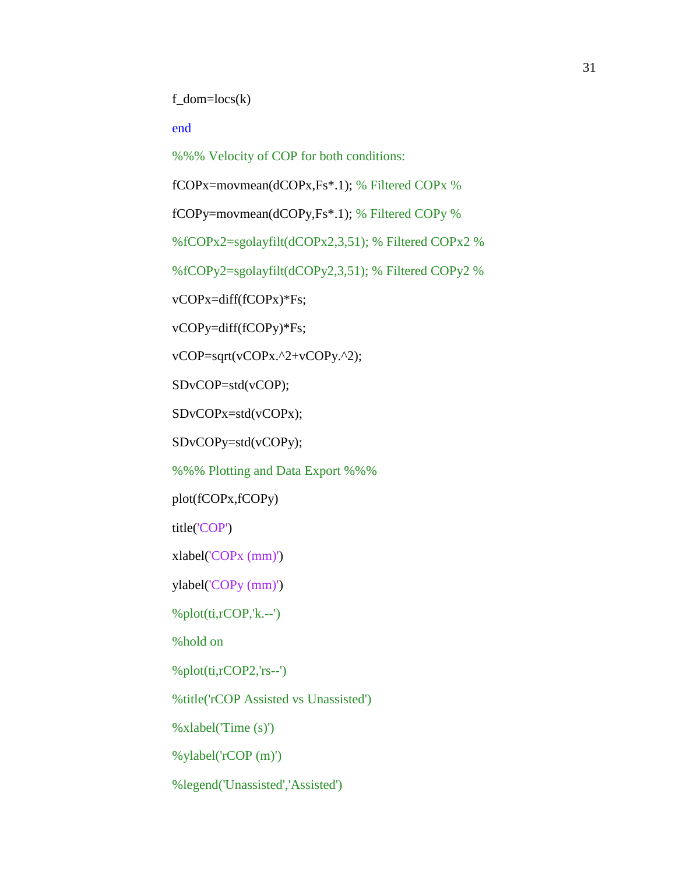$f_dom = \text{locs}(k)$ 

#### end

%%% Velocity of COP for both conditions:

fCOPx=movmean(dCOPx,Fs\*.1); % Filtered COPx %

fCOPy=movmean(dCOPy,Fs\*.1); % Filtered COPy %

%fCOPx2=sgolayfilt(dCOPx2,3,51); % Filtered COPx2 %

%fCOPy2=sgolayfilt(dCOPy2,3,51); % Filtered COPy2 %

vCOPx=diff(fCOPx)\*Fs;

vCOPy=diff(fCOPy)\*Fs;

vCOP=sqrt(vCOPx.^2+vCOPy.^2);

SDvCOP=std(vCOP);

SDvCOPx=std(vCOPx);

SDvCOPy=std(vCOPy);

%%% Plotting and Data Export %%%

plot(fCOPx,fCOPy)

title('COP')

xlabel('COPx (mm)')

ylabel('COPy (mm)')

 $%plot(it, rCOP, 'k.--')$ 

%hold on

%plot(ti,rCOP2,'rs--')

%title('rCOP Assisted vs Unassisted')

%xlabel('Time (s)')

%ylabel('rCOP (m)')

%legend('Unassisted','Assisted')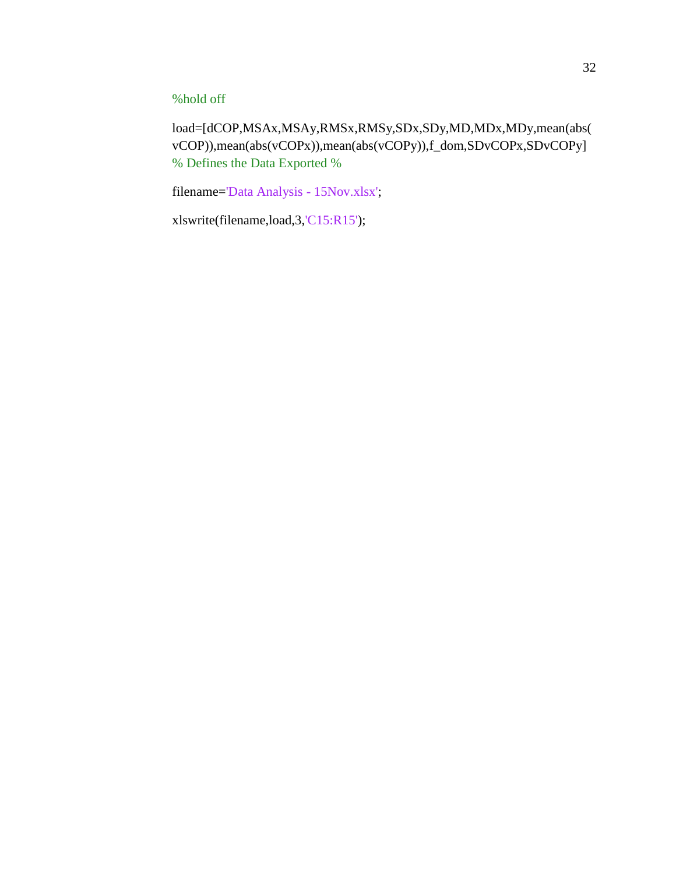### %hold off

load=[dCOP,MSAx,MSAy,RMSx,RMSy,SDx,SDy,MD,MDx,MDy,mean(abs( vCOP)),mean(abs(vCOPx)),mean(abs(vCOPy)),f\_dom,SDvCOPx,SDvCOPy] % Defines the Data Exported %

filename='Data Analysis - 15Nov.xlsx';

xlswrite(filename,load,3,'C15:R15');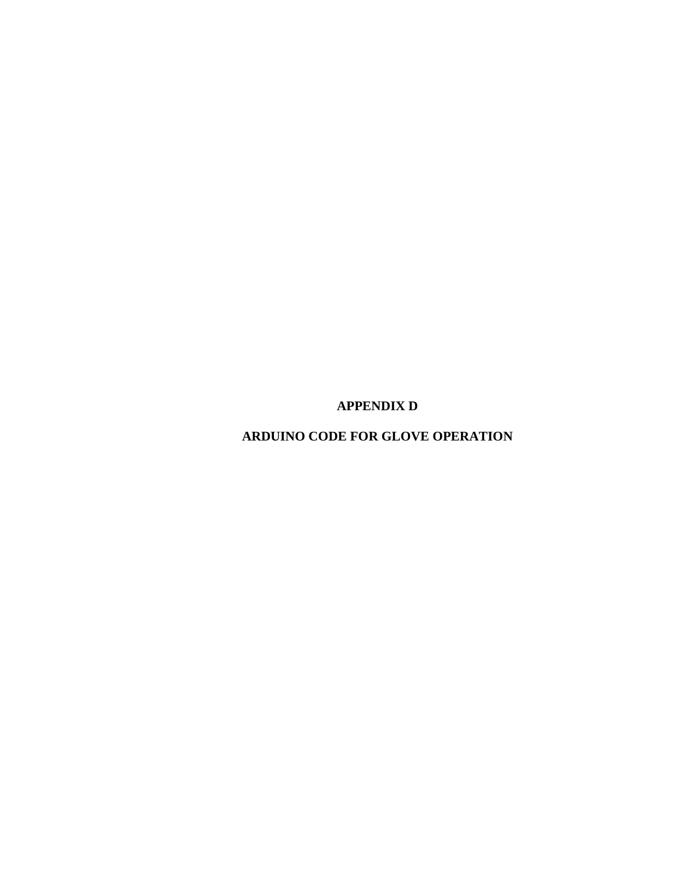**APPENDIX D**

**ARDUINO CODE FOR GLOVE OPERATION**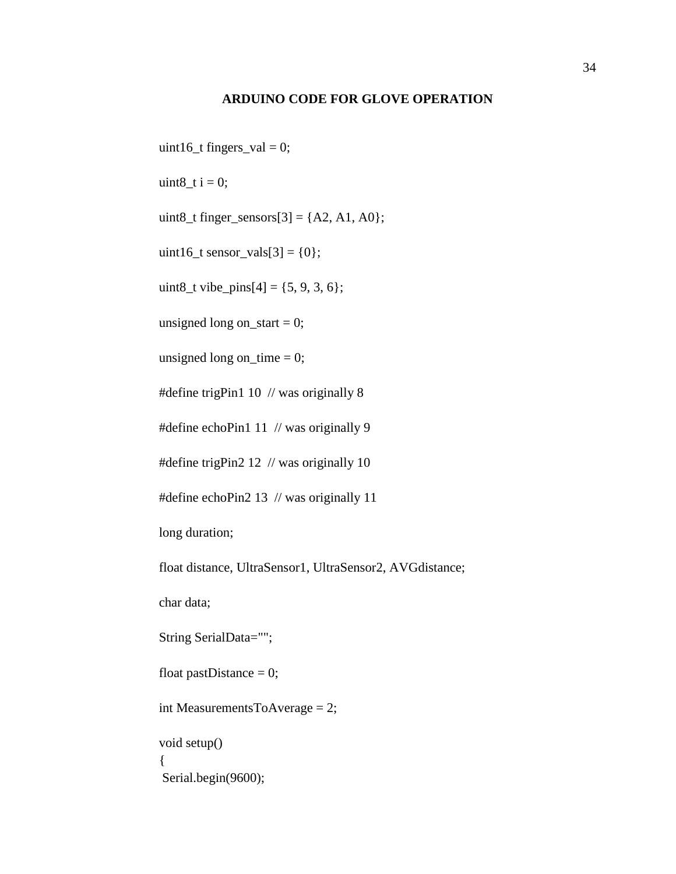#### **ARDUINO CODE FOR GLOVE OPERATION**

uint16\_t fingers\_val = 0;

uint $8_t$  i = 0;

uint8\_t finger\_sensors $[3] = \{A2, A1, A0\};$ 

uint16\_t sensor\_vals[3] =  $\{0\}$ ;

uint8\_t vibe\_pins[4] =  $\{5, 9, 3, 6\}$ ;

unsigned long on\_start  $= 0$ ;

unsigned long on\_time  $= 0$ ;

#define trigPin1 10 // was originally 8

#define echoPin1 11 // was originally 9

#define trigPin2 12 // was originally 10

#define echoPin2 13 // was originally 11

long duration;

float distance, UltraSensor1, UltraSensor2, AVGdistance;

char data;

String SerialData="";

float pastDistance  $= 0$ ;

int MeasurementsToAverage = 2;

void setup() { Serial.begin(9600);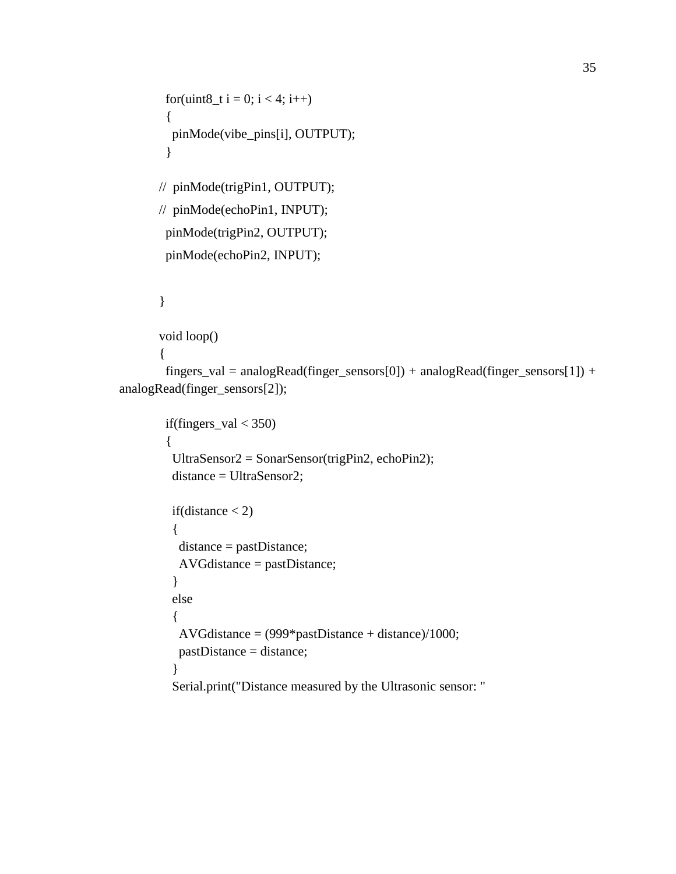```
for(uint8_t i = 0; i < 4; i++)
  {
   pinMode(vibe_pins[i], OUTPUT);
  }
// pinMode(trigPin1, OUTPUT);
// pinMode(echoPin1, INPUT); 
  pinMode(trigPin2, OUTPUT);
  pinMode(echoPin2, INPUT);
}
```

```
void loop()
```
{

fingers\_val = analogRead(finger\_sensors[0]) + analogRead(finger\_sensors[1]) + analogRead(finger\_sensors[2]);

```
if(fingers_val < 350)
 {
  UltraSensor2 = SonarSensor(trigPin2, echoPin2);
  distance = UltraSensor2;
 if(distance < 2)
  {
   distance = pastDistance;
   AVGdistance = pastDistance;
  }
  else
  {
  AVGdistance = (999*pastDistance + distance)/1000; pastDistance = distance;
  }
  Serial.print("Distance measured by the Ultrasonic sensor: "
```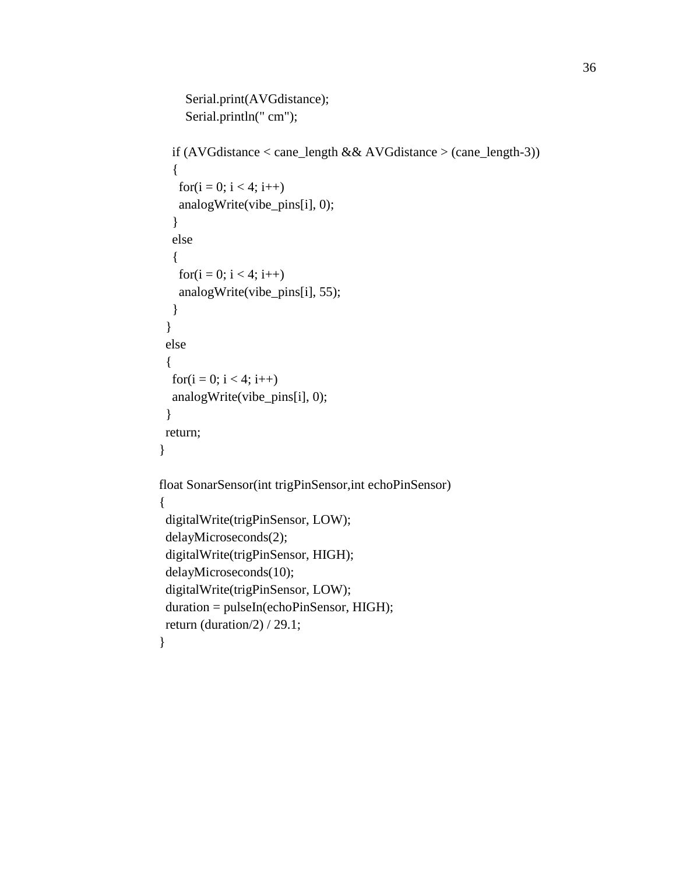```
 Serial.print(AVGdistance);
     Serial.println(" cm");
   if (AVGdistance < cane_length && AVGdistance > (cane_length-3))
   {
   for(i = 0; i < 4; i++) analogWrite(vibe_pins[i], 0);
   }
   else 
   {
   for(i = 0; i < 4; i++)
    analogWrite(vibe_pins[i], 55);
   }
  }
  else
  {
  for(i = 0; i < 4; i++)
   analogWrite(vibe_pins[i], 0);
  }
  return;
}
float SonarSensor(int trigPinSensor,int echoPinSensor)
{
 digitalWrite(trigPinSensor, LOW);
  delayMicroseconds(2);
  digitalWrite(trigPinSensor, HIGH);
  delayMicroseconds(10);
  digitalWrite(trigPinSensor, LOW);
  duration = pulseIn(echoPinSensor, HIGH);
  return (duration/2) / 29.1;
}
```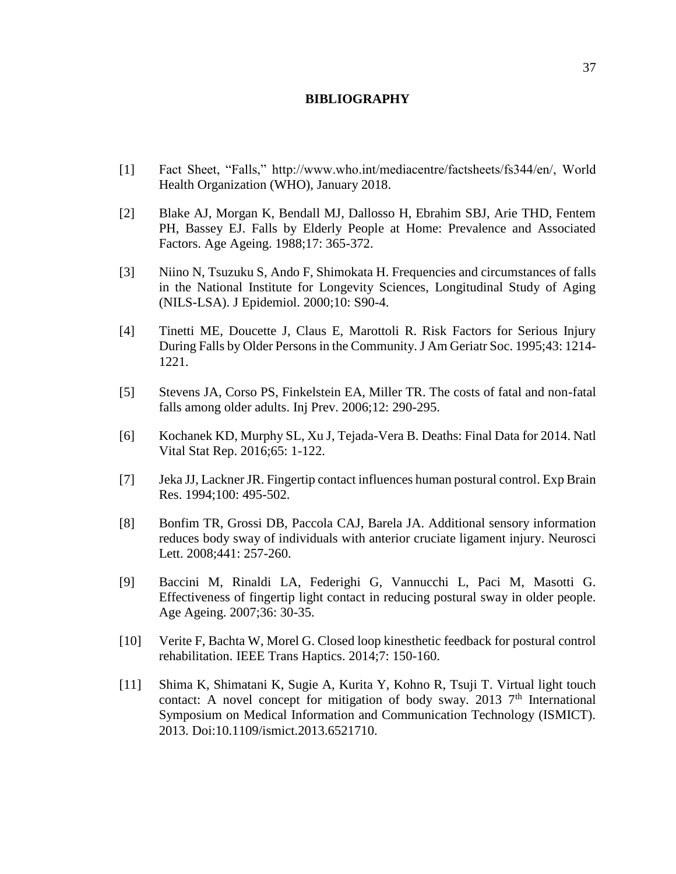#### **BIBLIOGRAPHY**

- [1] Fact Sheet, "Falls," http://www.who.int/mediacentre/factsheets/fs344/en/, World Health Organization (WHO), January 2018.
- [2] Blake AJ, Morgan K, Bendall MJ, Dallosso H, Ebrahim SBJ, Arie THD, Fentem PH, Bassey EJ. Falls by Elderly People at Home: Prevalence and Associated Factors. Age Ageing. 1988;17: 365-372.
- [3] Niino N, Tsuzuku S, Ando F, Shimokata H. Frequencies and circumstances of falls in the National Institute for Longevity Sciences, Longitudinal Study of Aging (NILS-LSA). J Epidemiol. 2000;10: S90-4.
- [4] Tinetti ME, Doucette J, Claus E, Marottoli R. Risk Factors for Serious Injury During Falls by Older Persons in the Community. J Am Geriatr Soc. 1995;43: 1214- 1221.
- [5] Stevens JA, Corso PS, Finkelstein EA, Miller TR. The costs of fatal and non-fatal falls among older adults. Inj Prev. 2006;12: 290-295.
- [6] Kochanek KD, Murphy SL, Xu J, Tejada-Vera B. Deaths: Final Data for 2014. Natl Vital Stat Rep. 2016;65: 1-122.
- [7] Jeka JJ, Lackner JR. Fingertip contact influences human postural control. Exp Brain Res. 1994;100: 495-502.
- [8] Bonfim TR, Grossi DB, Paccola CAJ, Barela JA. Additional sensory information reduces body sway of individuals with anterior cruciate ligament injury. Neurosci Lett. 2008;441: 257-260.
- [9] Baccini M, Rinaldi LA, Federighi G, Vannucchi L, Paci M, Masotti G. Effectiveness of fingertip light contact in reducing postural sway in older people. Age Ageing. 2007;36: 30-35.
- [10] Verite F, Bachta W, Morel G. Closed loop kinesthetic feedback for postural control rehabilitation. IEEE Trans Haptics. 2014;7: 150-160.
- [11] Shima K, Shimatani K, Sugie A, Kurita Y, Kohno R, Tsuji T. Virtual light touch contact: A novel concept for mitigation of body sway. 2013  $7<sup>th</sup>$  International Symposium on Medical Information and Communication Technology (ISMICT). 2013. Doi:10.1109/ismict.2013.6521710.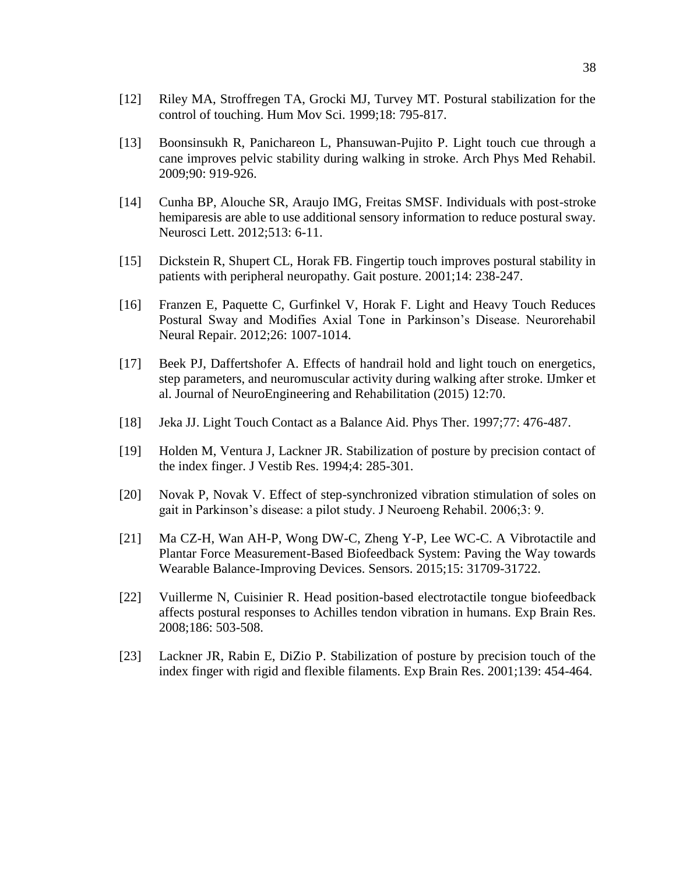- [12] Riley MA, Stroffregen TA, Grocki MJ, Turvey MT. Postural stabilization for the control of touching. Hum Mov Sci. 1999;18: 795-817.
- [13] Boonsinsukh R, Panichareon L, Phansuwan-Pujito P. Light touch cue through a cane improves pelvic stability during walking in stroke. Arch Phys Med Rehabil. 2009;90: 919-926.
- [14] Cunha BP, Alouche SR, Araujo IMG, Freitas SMSF. Individuals with post-stroke hemiparesis are able to use additional sensory information to reduce postural sway. Neurosci Lett. 2012;513: 6-11.
- [15] Dickstein R, Shupert CL, Horak FB. Fingertip touch improves postural stability in patients with peripheral neuropathy. Gait posture. 2001;14: 238-247.
- [16] Franzen E, Paquette C, Gurfinkel V, Horak F. Light and Heavy Touch Reduces Postural Sway and Modifies Axial Tone in Parkinson's Disease. Neurorehabil Neural Repair. 2012;26: 1007-1014.
- [17] Beek PJ, Daffertshofer A. Effects of handrail hold and light touch on energetics, step parameters, and neuromuscular activity during walking after stroke. IJmker et al. Journal of NeuroEngineering and Rehabilitation (2015) 12:70.
- [18] Jeka JJ. Light Touch Contact as a Balance Aid. Phys Ther. 1997;77: 476-487.
- [19] Holden M, Ventura J, Lackner JR. Stabilization of posture by precision contact of the index finger. J Vestib Res. 1994;4: 285-301.
- [20] Novak P, Novak V. Effect of step-synchronized vibration stimulation of soles on gait in Parkinson's disease: a pilot study. J Neuroeng Rehabil. 2006;3: 9.
- [21] Ma CZ-H, Wan AH-P, Wong DW-C, Zheng Y-P, Lee WC-C. A Vibrotactile and Plantar Force Measurement-Based Biofeedback System: Paving the Way towards Wearable Balance-Improving Devices. Sensors. 2015;15: 31709-31722.
- [22] Vuillerme N, Cuisinier R. Head position-based electrotactile tongue biofeedback affects postural responses to Achilles tendon vibration in humans. Exp Brain Res. 2008;186: 503-508.
- [23] Lackner JR, Rabin E, DiZio P. Stabilization of posture by precision touch of the index finger with rigid and flexible filaments. Exp Brain Res. 2001;139: 454-464.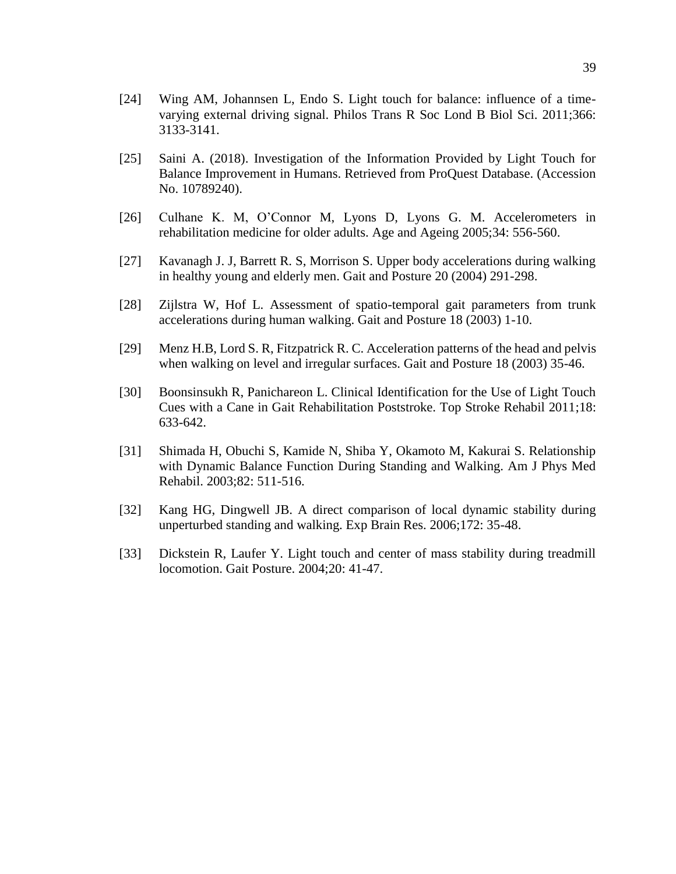- [25] Saini A. (2018). Investigation of the Information Provided by Light Touch for Balance Improvement in Humans. Retrieved from ProQuest Database. (Accession No. 10789240).
- [26] Culhane K. M, O'Connor M, Lyons D, Lyons G. M. Accelerometers in rehabilitation medicine for older adults. Age and Ageing 2005;34: 556-560.
- [27] Kavanagh J. J, Barrett R. S, Morrison S. Upper body accelerations during walking in healthy young and elderly men. Gait and Posture 20 (2004) 291-298.
- [28] Zijlstra W, Hof L. Assessment of spatio-temporal gait parameters from trunk accelerations during human walking. Gait and Posture 18 (2003) 1-10.
- [29] Menz H.B, Lord S. R, Fitzpatrick R. C. Acceleration patterns of the head and pelvis when walking on level and irregular surfaces. Gait and Posture 18 (2003) 35-46.
- [30] Boonsinsukh R, Panichareon L. Clinical Identification for the Use of Light Touch Cues with a Cane in Gait Rehabilitation Poststroke. Top Stroke Rehabil 2011;18: 633-642.
- [31] Shimada H, Obuchi S, Kamide N, Shiba Y, Okamoto M, Kakurai S. Relationship with Dynamic Balance Function During Standing and Walking. Am J Phys Med Rehabil. 2003;82: 511-516.
- [32] Kang HG, Dingwell JB. A direct comparison of local dynamic stability during unperturbed standing and walking. Exp Brain Res. 2006;172: 35-48.
- [33] Dickstein R, Laufer Y. Light touch and center of mass stability during treadmill locomotion. Gait Posture. 2004;20: 41-47.